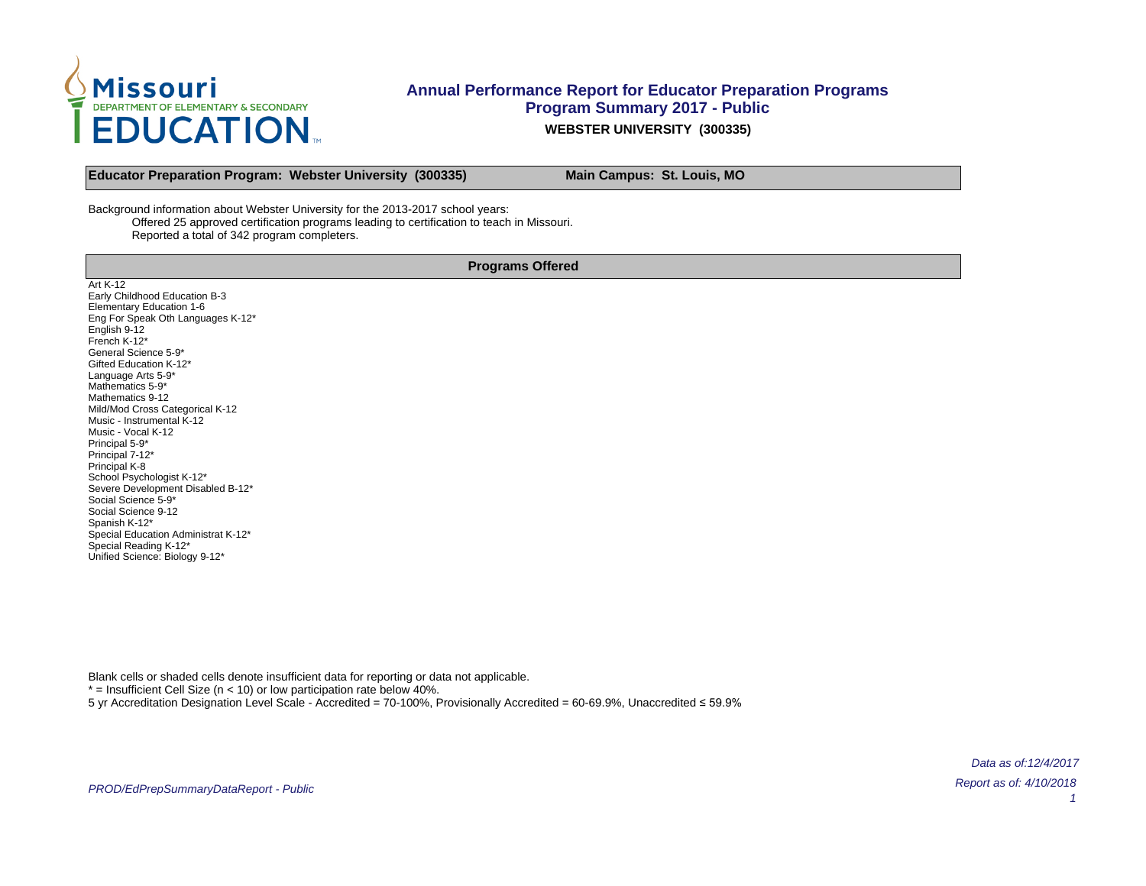

**Educator Preparation Program: Webster University (300335) Main Campus: St. Louis, MO** 

Background information about Webster University for the 2013-2017 school years: Offered 25 approved certification programs leading to certification to teach in Missouri. Reported a total of 342 program completers.

**Programs Offered**

Art K-12 Early Childhood Education B-3 Elementary Education 1-6 Eng For Speak Oth Languages K-12\* English 9-12 French K-12\* General Science 5-9\* Gifted Education K-12\* Language Arts 5-9\* Mathematics 5-9\* Mathematics 9-12 Mild/Mod Cross Categorical K-12 Music - Instrumental K-12 Music - Vocal K-12 Principal 5-9\* Principal 7-12\* Principal K-8 School Psychologist K-12\* Severe Development Disabled B-12\* Social Science 5-9\* Social Science 9-12 Spanish K-12\* Special Education Administrat K-12\* Special Reading K-12\* Unified Science: Biology 9-12\*

Blank cells or shaded cells denote insufficient data for reporting or data not applicable.

 $*$  = Insufficient Cell Size (n < 10) or low participation rate below 40%.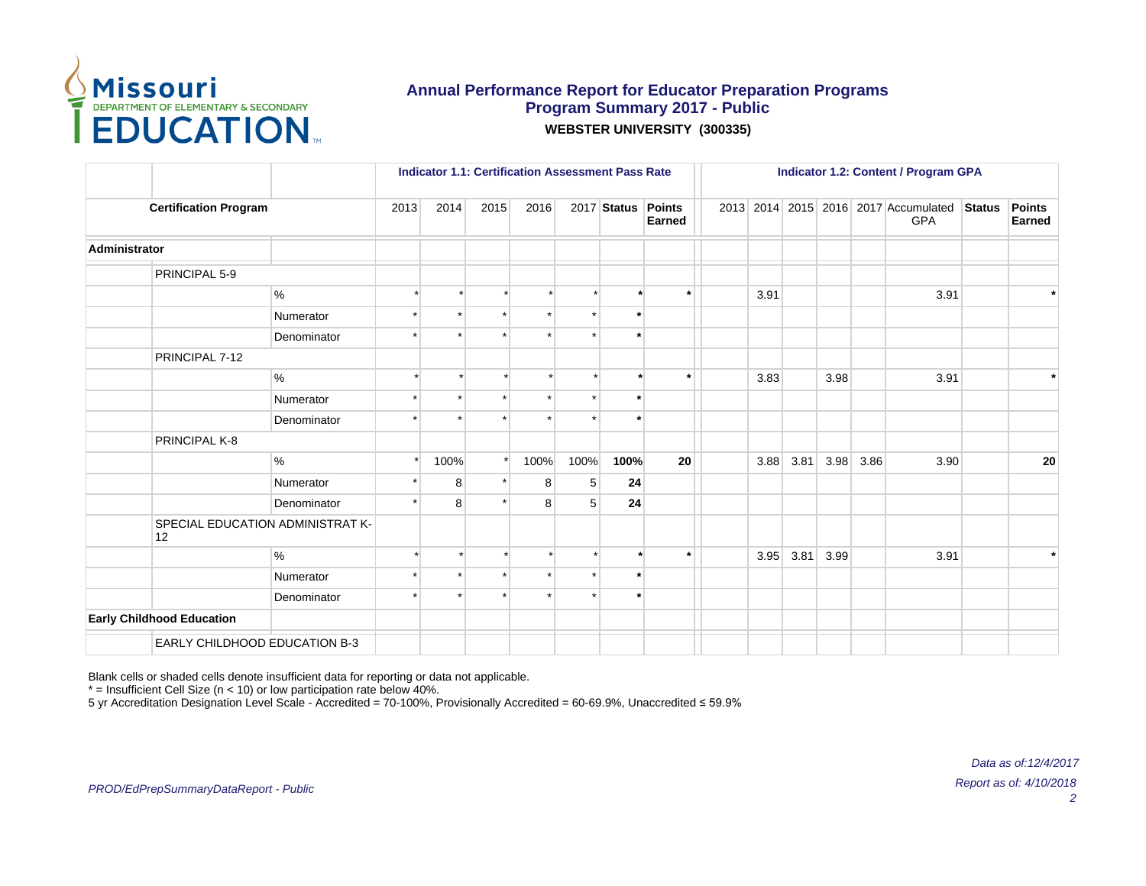

|                                  |                                  |         | <b>Indicator 1.1: Certification Assessment Pass Rate</b><br>2017 Status Points<br>2014<br>2015<br>2016<br>$\star$<br>$\star$<br>$\star$<br>100%<br>100%<br>$\star$<br>100%<br>5<br>8<br>$\star$<br>8 |         |   |   |         |               |      |      |      |      | <b>Indicator 1.2: Content / Program GPA</b>        |               |                  |
|----------------------------------|----------------------------------|---------|------------------------------------------------------------------------------------------------------------------------------------------------------------------------------------------------------|---------|---|---|---------|---------------|------|------|------|------|----------------------------------------------------|---------------|------------------|
| <b>Certification Program</b>     |                                  | 2013    |                                                                                                                                                                                                      |         |   |   |         | <b>Earned</b> |      |      |      |      | 2013 2014 2015 2016 2017 Accumulated<br><b>GPA</b> | <b>Status</b> | Points<br>Earned |
| Administrator                    |                                  |         |                                                                                                                                                                                                      |         |   |   |         |               |      |      |      |      |                                                    |               |                  |
| PRINCIPAL 5-9                    |                                  |         |                                                                                                                                                                                                      |         |   |   |         |               |      |      |      |      |                                                    |               |                  |
|                                  | %                                |         |                                                                                                                                                                                                      |         |   |   |         | $\star$       | 3.91 |      |      |      | 3.91                                               |               |                  |
|                                  | Numerator                        |         |                                                                                                                                                                                                      |         |   |   | $\star$ |               |      |      |      |      |                                                    |               |                  |
|                                  | Denominator                      |         |                                                                                                                                                                                                      |         |   |   | $\star$ |               |      |      |      |      |                                                    |               |                  |
| PRINCIPAL 7-12                   |                                  |         |                                                                                                                                                                                                      |         |   |   |         |               |      |      |      |      |                                                    |               |                  |
|                                  | $\%$                             |         |                                                                                                                                                                                                      |         |   |   |         | $\star$       | 3.83 |      | 3.98 |      | 3.91                                               |               | $\star$          |
|                                  | Numerator                        |         |                                                                                                                                                                                                      |         |   |   |         |               |      |      |      |      |                                                    |               |                  |
|                                  | Denominator                      |         |                                                                                                                                                                                                      |         |   |   |         |               |      |      |      |      |                                                    |               |                  |
| PRINCIPAL K-8                    |                                  |         |                                                                                                                                                                                                      |         |   |   |         |               |      |      |      |      |                                                    |               |                  |
|                                  | $\%$                             |         |                                                                                                                                                                                                      |         |   |   | 100%    | 20            | 3.88 | 3.81 | 3.98 | 3.86 | 3.90                                               |               | 20               |
|                                  | Numerator                        |         |                                                                                                                                                                                                      |         |   |   | 24      |               |      |      |      |      |                                                    |               |                  |
|                                  | Denominator                      |         | 8                                                                                                                                                                                                    |         | 8 | 5 | 24      |               |      |      |      |      |                                                    |               |                  |
| 12                               | SPECIAL EDUCATION ADMINISTRAT K- |         |                                                                                                                                                                                                      |         |   |   |         |               |      |      |      |      |                                                    |               |                  |
|                                  | $\%$                             |         |                                                                                                                                                                                                      | $\star$ |   |   | $\cdot$ | $\star$       | 3.95 | 3.81 | 3.99 |      | 3.91                                               |               | $\star$          |
|                                  | Numerator                        |         |                                                                                                                                                                                                      | $\star$ |   |   | $\star$ |               |      |      |      |      |                                                    |               |                  |
|                                  | Denominator                      | $\star$ |                                                                                                                                                                                                      |         |   |   |         |               |      |      |      |      |                                                    |               |                  |
| <b>Early Childhood Education</b> |                                  |         |                                                                                                                                                                                                      |         |   |   |         |               |      |      |      |      |                                                    |               |                  |
| EARLY CHILDHOOD EDUCATION B-3    |                                  |         |                                                                                                                                                                                                      |         |   |   |         |               |      |      |      |      |                                                    |               |                  |

Blank cells or shaded cells denote insufficient data for reporting or data not applicable.

 $*$  = Insufficient Cell Size (n < 10) or low participation rate below 40%.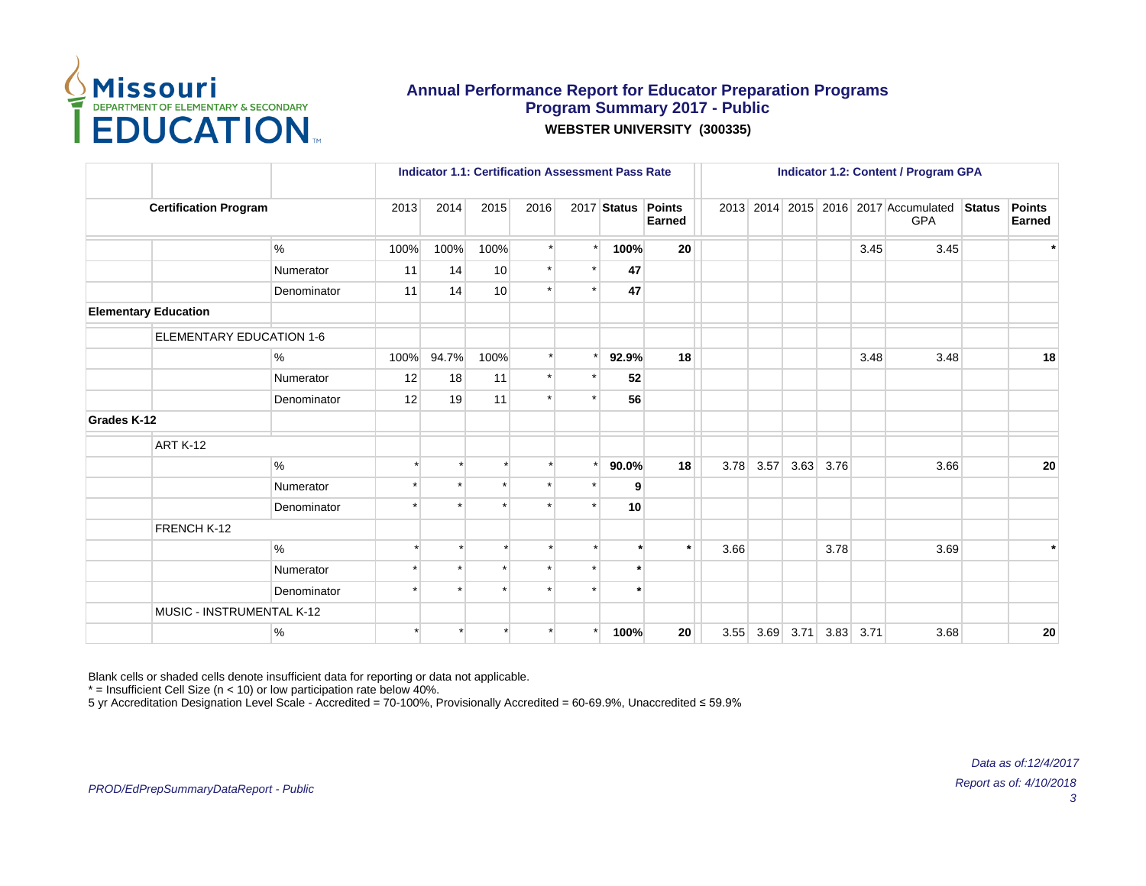

|             |                                 |             |         | <b>Indicator 1.1: Certification Assessment Pass Rate</b> |         |         |         |                    |                 |      |      |      |      |      | <b>Indicator 1.2: Content / Program GPA</b>        |               |                         |
|-------------|---------------------------------|-------------|---------|----------------------------------------------------------|---------|---------|---------|--------------------|-----------------|------|------|------|------|------|----------------------------------------------------|---------------|-------------------------|
|             | <b>Certification Program</b>    |             | 2013    | 2014                                                     | 2015    | 2016    |         | 2017 Status Points | Earned          |      |      |      |      |      | 2013 2014 2015 2016 2017 Accumulated<br><b>GPA</b> | <b>Status</b> | <b>Points</b><br>Earned |
|             |                                 | $\%$        | 100%    | 100%                                                     | 100%    |         | $\star$ | 100%               | 20 <sup>°</sup> |      |      |      |      | 3.45 | 3.45                                               |               | $\star$                 |
|             |                                 | Numerator   | 11      | 14                                                       | 10      | $\star$ |         | 47                 |                 |      |      |      |      |      |                                                    |               |                         |
|             |                                 | Denominator | 11      | 14                                                       | 10      |         |         | 47                 |                 |      |      |      |      |      |                                                    |               |                         |
|             | <b>Elementary Education</b>     |             |         |                                                          |         |         |         |                    |                 |      |      |      |      |      |                                                    |               |                         |
|             | <b>ELEMENTARY EDUCATION 1-6</b> |             |         |                                                          |         |         |         |                    |                 |      |      |      |      |      |                                                    |               |                         |
|             |                                 | %           | 100%    | 94.7%                                                    | 100%    |         |         | 92.9%              | 18              |      |      |      |      | 3.48 | 3.48                                               |               | 18                      |
|             |                                 | Numerator   | 12      | 18                                                       | 11      | $\star$ |         | 52                 |                 |      |      |      |      |      |                                                    |               |                         |
|             |                                 | Denominator | 12      | 19                                                       | 11      | $\star$ |         | 56                 |                 |      |      |      |      |      |                                                    |               |                         |
| Grades K-12 |                                 |             |         |                                                          |         |         |         |                    |                 |      |      |      |      |      |                                                    |               |                         |
|             | ART K-12                        |             |         |                                                          |         |         |         |                    |                 |      |      |      |      |      |                                                    |               |                         |
|             |                                 | $\%$        |         |                                                          |         |         |         | 90.0%              | 18              | 3.78 | 3.57 | 3.63 | 3.76 |      | 3.66                                               |               | 20                      |
|             |                                 | Numerator   |         |                                                          |         |         |         | 9                  |                 |      |      |      |      |      |                                                    |               |                         |
|             |                                 | Denominator | $\star$ |                                                          |         |         |         | 10                 |                 |      |      |      |      |      |                                                    |               |                         |
|             | FRENCH K-12                     |             |         |                                                          |         |         |         |                    |                 |      |      |      |      |      |                                                    |               |                         |
|             |                                 | %           |         |                                                          |         |         |         | $\ddot{}$          | $\star$         | 3.66 |      |      | 3.78 |      | 3.69                                               |               | $\star$                 |
|             |                                 | Numerator   |         |                                                          |         |         |         |                    |                 |      |      |      |      |      |                                                    |               |                         |
|             |                                 | Denominator | $\star$ |                                                          | $\star$ |         |         | $\star$            |                 |      |      |      |      |      |                                                    |               |                         |
|             | MUSIC - INSTRUMENTAL K-12       |             |         |                                                          |         |         |         |                    |                 |      |      |      |      |      |                                                    |               |                         |
|             |                                 | $\%$        |         |                                                          |         |         |         | 100%               | 20              | 3.55 | 3.69 | 3.71 | 3.83 | 3.71 | 3.68                                               |               | 20                      |

Blank cells or shaded cells denote insufficient data for reporting or data not applicable.

 $*$  = Insufficient Cell Size (n < 10) or low participation rate below 40%.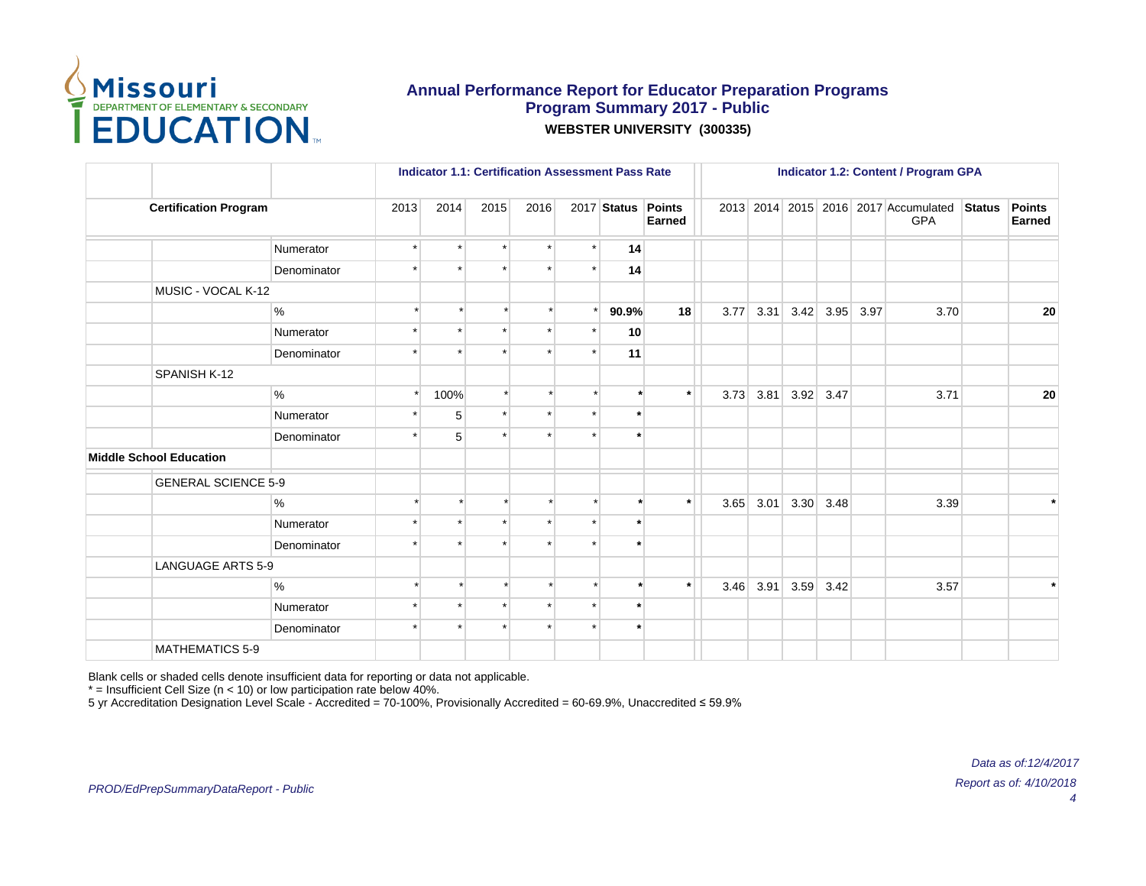

|                                |                            |         |         |          |      |         | <b>Indicator 1.1: Certification Assessment Pass Rate</b> |         |      |      |      |             |      | <b>Indicator 1.2: Content / Program GPA</b>        |               |                         |
|--------------------------------|----------------------------|---------|---------|----------|------|---------|----------------------------------------------------------|---------|------|------|------|-------------|------|----------------------------------------------------|---------------|-------------------------|
| <b>Certification Program</b>   |                            | 2013    | 2014    | 2015     | 2016 |         | 2017 Status Points                                       | Earned  |      |      |      |             |      | 2013 2014 2015 2016 2017 Accumulated<br><b>GPA</b> | <b>Status</b> | <b>Points</b><br>Earned |
|                                | Numerator                  | $\star$ | $\star$ | $\star$  |      | $\star$ | 14                                                       |         |      |      |      |             |      |                                                    |               |                         |
|                                | Denominator                |         |         |          |      |         | 14                                                       |         |      |      |      |             |      |                                                    |               |                         |
| MUSIC - VOCAL K-12             |                            |         |         |          |      |         |                                                          |         |      |      |      |             |      |                                                    |               |                         |
|                                | %                          |         |         |          |      |         | 90.9%                                                    | 18      | 3.77 | 3.31 | 3.42 | 3.95        | 3.97 | 3.70                                               |               | 20                      |
|                                | Numerator                  |         |         |          |      |         | 10                                                       |         |      |      |      |             |      |                                                    |               |                         |
|                                | Denominator                |         |         |          |      |         | 11                                                       |         |      |      |      |             |      |                                                    |               |                         |
| SPANISH K-12                   |                            |         |         |          |      |         |                                                          |         |      |      |      |             |      |                                                    |               |                         |
|                                | %                          |         | 100%    | $^\star$ |      |         |                                                          | $\star$ | 3.73 | 3.81 |      | $3.92$ 3.47 |      | 3.71                                               |               | ${\bf 20}$              |
|                                | Numerator                  |         | 5       |          |      |         | $\star$                                                  |         |      |      |      |             |      |                                                    |               |                         |
|                                | Denominator                |         | 5       |          |      |         |                                                          |         |      |      |      |             |      |                                                    |               |                         |
| <b>Middle School Education</b> |                            |         |         |          |      |         |                                                          |         |      |      |      |             |      |                                                    |               |                         |
|                                | <b>GENERAL SCIENCE 5-9</b> |         |         |          |      |         |                                                          |         |      |      |      |             |      |                                                    |               |                         |
|                                | $\%$                       |         |         |          |      |         |                                                          | $\star$ | 3.65 | 3.01 | 3.30 | 3.48        |      | 3.39                                               |               |                         |
|                                | Numerator                  |         | $\star$ |          |      |         | $\star$                                                  |         |      |      |      |             |      |                                                    |               |                         |
|                                | Denominator                |         |         |          |      |         |                                                          |         |      |      |      |             |      |                                                    |               |                         |
|                                | <b>LANGUAGE ARTS 5-9</b>   |         |         |          |      |         |                                                          |         |      |      |      |             |      |                                                    |               |                         |
|                                | %                          |         |         | $\star$  |      |         |                                                          | $\star$ | 3.46 | 3.91 | 3.59 | 3.42        |      | 3.57                                               |               | $\star$                 |
|                                | Numerator                  |         |         | $\star$  |      |         | $\star$                                                  |         |      |      |      |             |      |                                                    |               |                         |
|                                | Denominator                | ÷       | $\star$ |          |      |         | $\star$                                                  |         |      |      |      |             |      |                                                    |               |                         |
| <b>MATHEMATICS 5-9</b>         |                            |         |         |          |      |         |                                                          |         |      |      |      |             |      |                                                    |               |                         |

Blank cells or shaded cells denote insufficient data for reporting or data not applicable.

 $*$  = Insufficient Cell Size (n < 10) or low participation rate below 40%.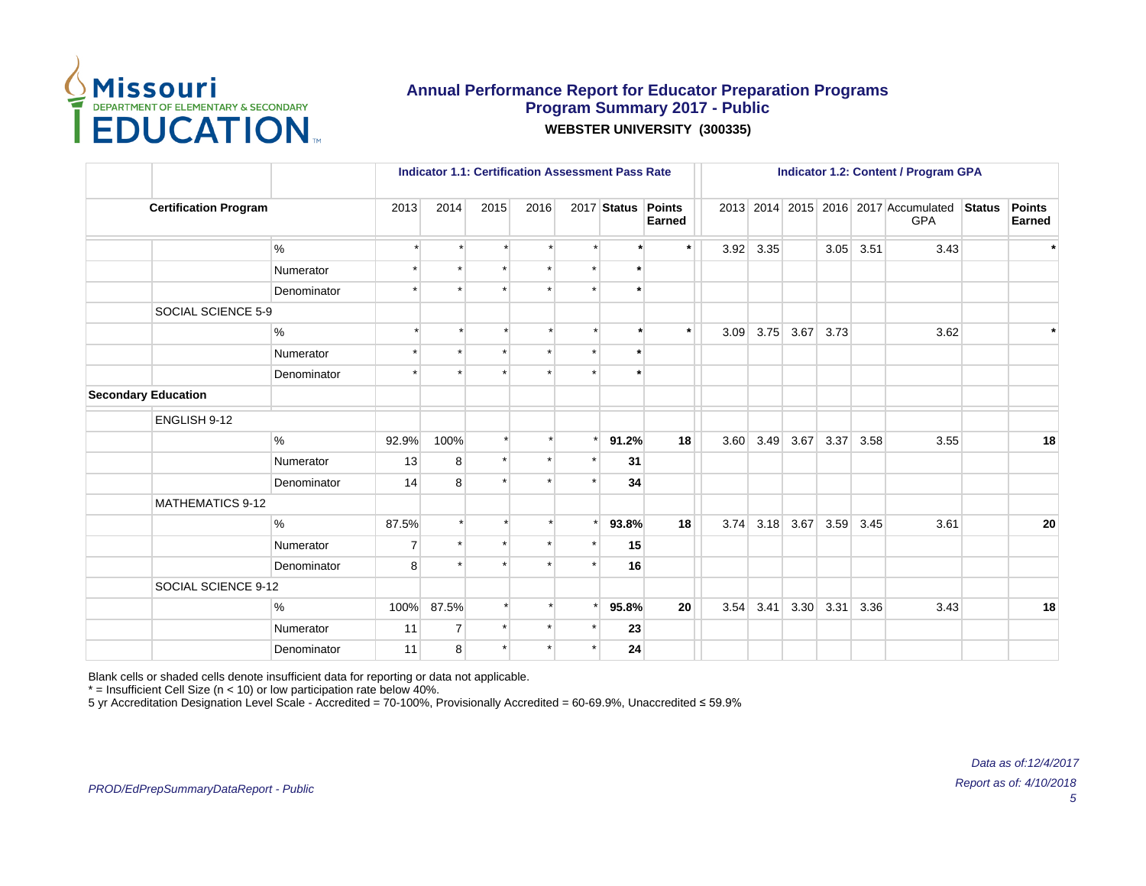

|                              |             |                | <b>Indicator 1.1: Certification Assessment Pass Rate</b> |                      |      |                    |                 |      |      |      |      |      | <b>Indicator 1.2: Content / Program GPA</b>        |               |                         |
|------------------------------|-------------|----------------|----------------------------------------------------------|----------------------|------|--------------------|-----------------|------|------|------|------|------|----------------------------------------------------|---------------|-------------------------|
| <b>Certification Program</b> |             | 2013           | 2014                                                     | 2015                 | 2016 | 2017 Status Points | Earned          |      |      |      |      |      | 2013 2014 2015 2016 2017 Accumulated<br><b>GPA</b> | <b>Status</b> | <b>Points</b><br>Earned |
|                              | $\%$        | $\star$        | $\star$                                                  | $\star$              |      |                    | $\star$         | 3.92 | 3.35 |      | 3.05 | 3.51 | 3.43                                               |               | $\star$                 |
|                              | Numerator   |                |                                                          |                      |      |                    |                 |      |      |      |      |      |                                                    |               |                         |
|                              | Denominator |                |                                                          |                      |      |                    |                 |      |      |      |      |      |                                                    |               |                         |
| SOCIAL SCIENCE 5-9           |             |                |                                                          |                      |      |                    |                 |      |      |      |      |      |                                                    |               |                         |
|                              | $\%$        |                |                                                          | ÷                    |      | $\ddot{}$          | $\star$         | 3.09 | 3.75 | 3.67 | 3.73 |      | 3.62                                               |               | $\star$                 |
|                              | Numerator   | ÷              |                                                          |                      |      | $\star$            |                 |      |      |      |      |      |                                                    |               |                         |
|                              | Denominator |                |                                                          |                      |      |                    |                 |      |      |      |      |      |                                                    |               |                         |
| <b>Secondary Education</b>   |             |                |                                                          |                      |      |                    |                 |      |      |      |      |      |                                                    |               |                         |
| ENGLISH 9-12                 |             |                |                                                          |                      |      |                    |                 |      |      |      |      |      |                                                    |               |                         |
|                              | $\%$        | 92.9%          | 100%                                                     | $\star$              |      | 91.2%              | 18              | 3.60 | 3.49 | 3.67 | 3.37 | 3.58 | 3.55                                               |               | 18                      |
|                              | Numerator   | 13             | 8                                                        | $\ddot{\phantom{1}}$ |      | 31                 |                 |      |      |      |      |      |                                                    |               |                         |
|                              | Denominator | 14             | 8                                                        |                      |      | 34                 |                 |      |      |      |      |      |                                                    |               |                         |
| <b>MATHEMATICS 9-12</b>      |             |                |                                                          |                      |      |                    |                 |      |      |      |      |      |                                                    |               |                         |
|                              | $\%$        | 87.5%          | $\star$                                                  |                      |      | 93.8%              | 18              | 3.74 | 3.18 | 3.67 | 3.59 | 3.45 | 3.61                                               |               | 20                      |
|                              | Numerator   | $\overline{7}$ |                                                          |                      |      | 15                 |                 |      |      |      |      |      |                                                    |               |                         |
|                              | Denominator | 8              | $\star$                                                  |                      |      | 16                 |                 |      |      |      |      |      |                                                    |               |                         |
| SOCIAL SCIENCE 9-12          |             |                |                                                          |                      |      |                    |                 |      |      |      |      |      |                                                    |               |                         |
|                              | $\%$        | 100%           | 87.5%                                                    | $\star$              |      | 95.8%              | 20 <sup>1</sup> | 3.54 | 3.41 | 3.30 | 3.31 | 3.36 | 3.43                                               |               | 18                      |
|                              | Numerator   | 11             | $\overline{7}$                                           | $\star$              |      | 23                 |                 |      |      |      |      |      |                                                    |               |                         |
|                              | Denominator | 11             | 8                                                        |                      |      | 24                 |                 |      |      |      |      |      |                                                    |               |                         |

Blank cells or shaded cells denote insufficient data for reporting or data not applicable.

 $*$  = Insufficient Cell Size (n < 10) or low participation rate below 40%.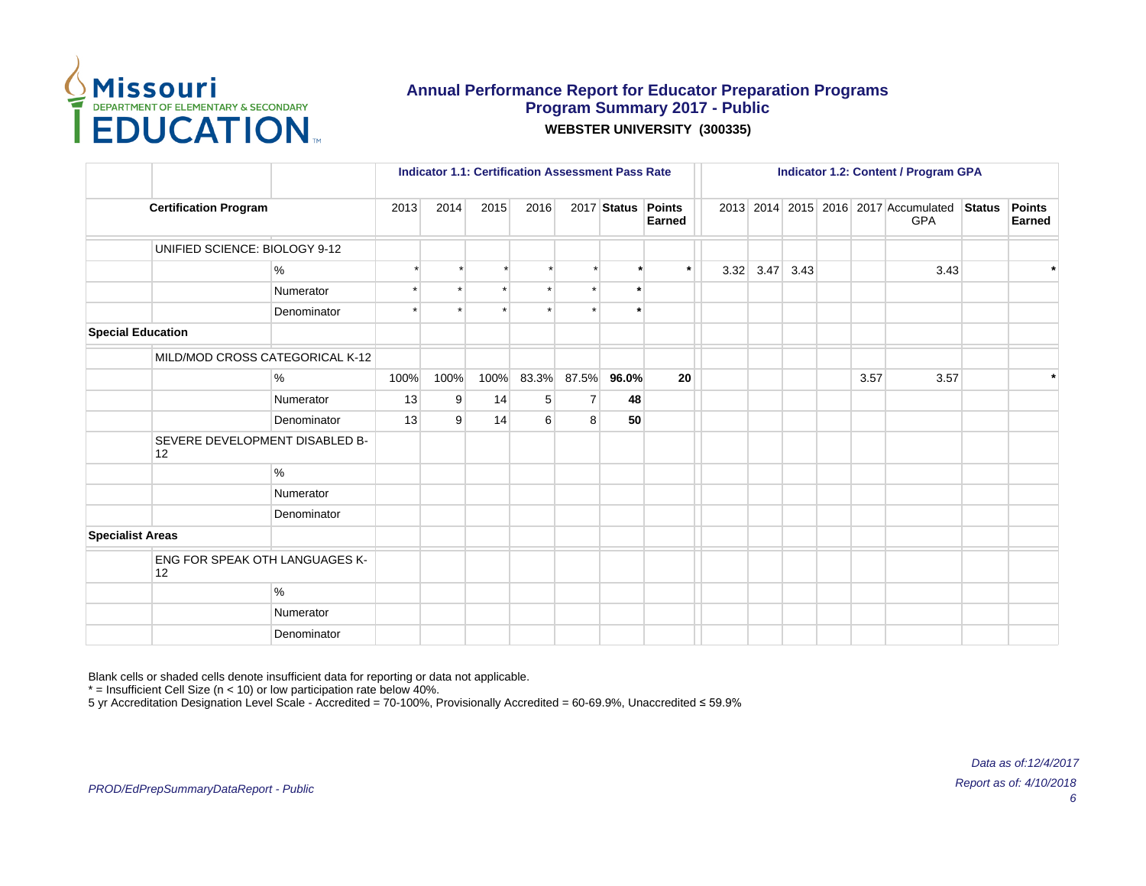

|                          |                                      |               |      | <b>Indicator 1.1: Certification Assessment Pass Rate</b> |      |       |                |                    |        |      |      | <b>Indicator 1.2: Content / Program GPA</b> |      |                                                    |               |                         |
|--------------------------|--------------------------------------|---------------|------|----------------------------------------------------------|------|-------|----------------|--------------------|--------|------|------|---------------------------------------------|------|----------------------------------------------------|---------------|-------------------------|
|                          | <b>Certification Program</b>         |               | 2013 | 2014                                                     | 2015 | 2016  |                | 2017 Status Points | Earned |      |      |                                             |      | 2013 2014 2015 2016 2017 Accumulated<br><b>GPA</b> | <b>Status</b> | <b>Points</b><br>Earned |
|                          | UNIFIED SCIENCE: BIOLOGY 9-12        |               |      |                                                          |      |       |                |                    |        |      |      |                                             |      |                                                    |               |                         |
|                          |                                      | %             |      |                                                          |      |       |                | $\ddot{}$          | $\ast$ | 3.32 | 3.47 | 3.43                                        |      | 3.43                                               |               | $\ddot{\phantom{1}}$    |
|                          |                                      | Numerator     |      |                                                          |      |       |                | $\star$            |        |      |      |                                             |      |                                                    |               |                         |
|                          |                                      | Denominator   |      |                                                          |      |       |                | $\ddot{}$          |        |      |      |                                             |      |                                                    |               |                         |
| <b>Special Education</b> |                                      |               |      |                                                          |      |       |                |                    |        |      |      |                                             |      |                                                    |               |                         |
|                          | MILD/MOD CROSS CATEGORICAL K-12      |               |      |                                                          |      |       |                |                    |        |      |      |                                             |      |                                                    |               |                         |
|                          |                                      | %             | 100% | 100%                                                     | 100% | 83.3% | 87.5%          | 96.0%              | 20     |      |      |                                             | 3.57 | 3.57                                               |               |                         |
|                          |                                      | Numerator     | 13   | 9                                                        | 14   | 5     | $\overline{7}$ | 48                 |        |      |      |                                             |      |                                                    |               |                         |
|                          |                                      | Denominator   | 13   | 9                                                        | 14   | 6     | 8              | 50                 |        |      |      |                                             |      |                                                    |               |                         |
|                          | SEVERE DEVELOPMENT DISABLED B-<br>12 |               |      |                                                          |      |       |                |                    |        |      |      |                                             |      |                                                    |               |                         |
|                          |                                      | $\%$          |      |                                                          |      |       |                |                    |        |      |      |                                             |      |                                                    |               |                         |
|                          |                                      | Numerator     |      |                                                          |      |       |                |                    |        |      |      |                                             |      |                                                    |               |                         |
|                          |                                      | Denominator   |      |                                                          |      |       |                |                    |        |      |      |                                             |      |                                                    |               |                         |
| <b>Specialist Areas</b>  |                                      |               |      |                                                          |      |       |                |                    |        |      |      |                                             |      |                                                    |               |                         |
|                          | ENG FOR SPEAK OTH LANGUAGES K-<br>12 |               |      |                                                          |      |       |                |                    |        |      |      |                                             |      |                                                    |               |                         |
|                          |                                      | $\frac{9}{6}$ |      |                                                          |      |       |                |                    |        |      |      |                                             |      |                                                    |               |                         |
|                          |                                      | Numerator     |      |                                                          |      |       |                |                    |        |      |      |                                             |      |                                                    |               |                         |
|                          |                                      | Denominator   |      |                                                          |      |       |                |                    |        |      |      |                                             |      |                                                    |               |                         |

Blank cells or shaded cells denote insufficient data for reporting or data not applicable.

 $*$  = Insufficient Cell Size (n < 10) or low participation rate below 40%.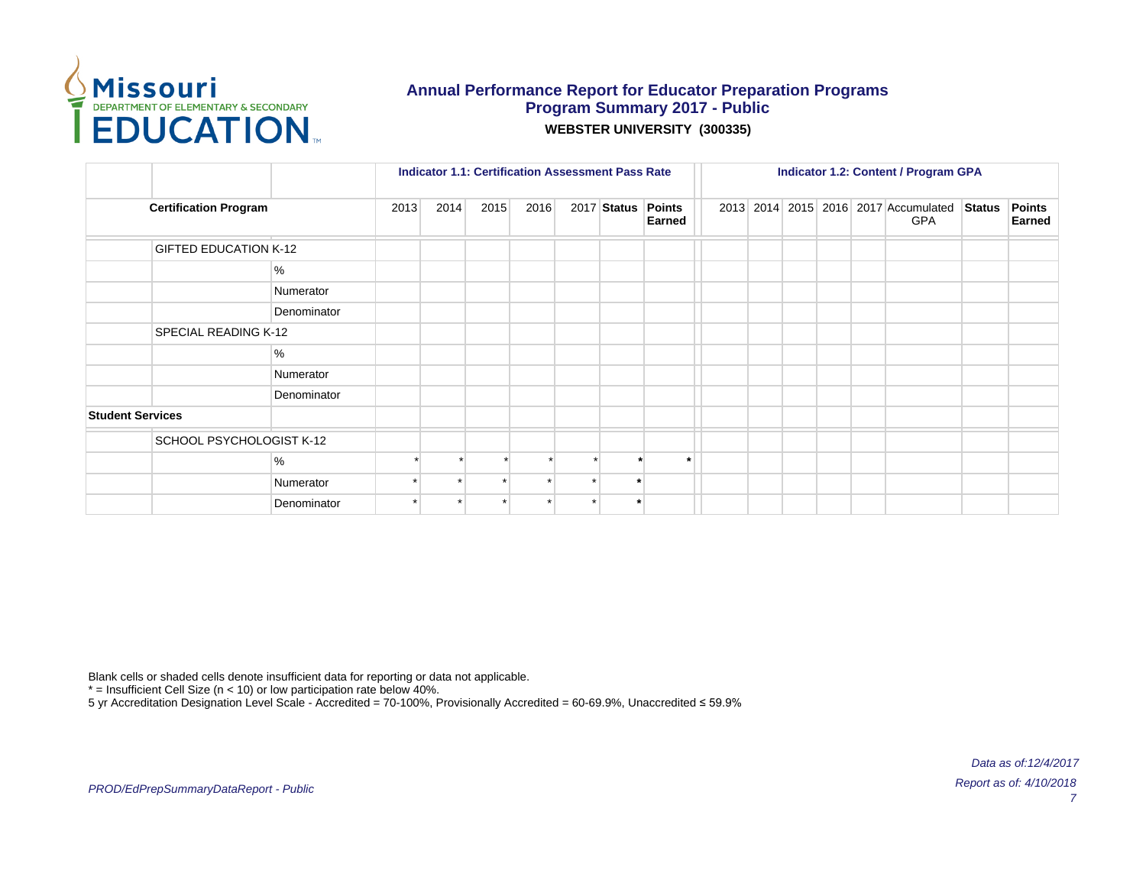

|                         |                              |             |      | <b>Indicator 1.1: Certification Assessment Pass Rate</b> |      |      |         |                              |  |  | <b>Indicator 1.2: Content / Program GPA</b>        |               |                                |
|-------------------------|------------------------------|-------------|------|----------------------------------------------------------|------|------|---------|------------------------------|--|--|----------------------------------------------------|---------------|--------------------------------|
|                         | <b>Certification Program</b> |             | 2013 | 2014                                                     | 2015 | 2016 |         | 2017 Status Points<br>Earned |  |  | 2013 2014 2015 2016 2017 Accumulated<br><b>GPA</b> | <b>Status</b> | <b>Points</b><br><b>Earned</b> |
|                         | <b>GIFTED EDUCATION K-12</b> |             |      |                                                          |      |      |         |                              |  |  |                                                    |               |                                |
|                         |                              | %           |      |                                                          |      |      |         |                              |  |  |                                                    |               |                                |
|                         |                              | Numerator   |      |                                                          |      |      |         |                              |  |  |                                                    |               |                                |
|                         |                              | Denominator |      |                                                          |      |      |         |                              |  |  |                                                    |               |                                |
|                         | SPECIAL READING K-12         |             |      |                                                          |      |      |         |                              |  |  |                                                    |               |                                |
|                         |                              | %           |      |                                                          |      |      |         |                              |  |  |                                                    |               |                                |
|                         |                              | Numerator   |      |                                                          |      |      |         |                              |  |  |                                                    |               |                                |
|                         |                              | Denominator |      |                                                          |      |      |         |                              |  |  |                                                    |               |                                |
| <b>Student Services</b> |                              |             |      |                                                          |      |      |         |                              |  |  |                                                    |               |                                |
|                         | SCHOOL PSYCHOLOGIST K-12     |             |      |                                                          |      |      |         |                              |  |  |                                                    |               |                                |
|                         |                              | $\%$        |      |                                                          |      |      |         |                              |  |  |                                                    |               |                                |
|                         |                              | Numerator   |      |                                                          |      |      | $\star$ |                              |  |  |                                                    |               |                                |
|                         |                              | Denominator |      |                                                          |      |      | $\star$ |                              |  |  |                                                    |               |                                |

Blank cells or shaded cells denote insufficient data for reporting or data not applicable.

 $*$  = Insufficient Cell Size (n < 10) or low participation rate below 40%.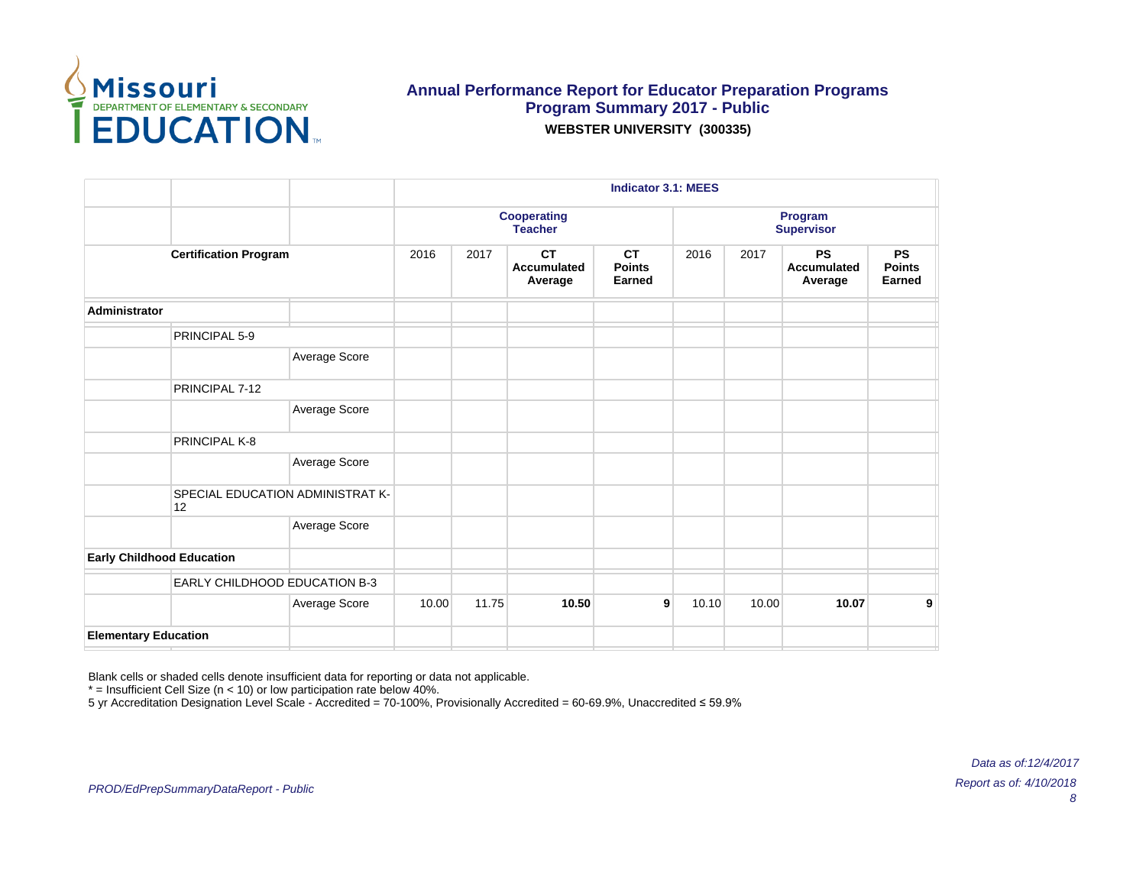

|                                               |               |       |       |                                            | <b>Indicator 3.1: MEES</b>           |       |       |                                            |                                      |
|-----------------------------------------------|---------------|-------|-------|--------------------------------------------|--------------------------------------|-------|-------|--------------------------------------------|--------------------------------------|
|                                               |               |       |       | <b>Cooperating</b><br><b>Teacher</b>       |                                      |       |       | Program<br><b>Supervisor</b>               |                                      |
| <b>Certification Program</b>                  |               | 2016  | 2017  | <b>CT</b><br><b>Accumulated</b><br>Average | <b>CT</b><br><b>Points</b><br>Earned | 2016  | 2017  | <b>PS</b><br><b>Accumulated</b><br>Average | <b>PS</b><br><b>Points</b><br>Earned |
| Administrator                                 |               |       |       |                                            |                                      |       |       |                                            |                                      |
| PRINCIPAL 5-9                                 |               |       |       |                                            |                                      |       |       |                                            |                                      |
|                                               | Average Score |       |       |                                            |                                      |       |       |                                            |                                      |
| PRINCIPAL 7-12                                |               |       |       |                                            |                                      |       |       |                                            |                                      |
|                                               | Average Score |       |       |                                            |                                      |       |       |                                            |                                      |
| PRINCIPAL K-8                                 |               |       |       |                                            |                                      |       |       |                                            |                                      |
|                                               | Average Score |       |       |                                            |                                      |       |       |                                            |                                      |
| <b>SPECIAL EDUCATION ADMINISTRAT K-</b><br>12 |               |       |       |                                            |                                      |       |       |                                            |                                      |
|                                               | Average Score |       |       |                                            |                                      |       |       |                                            |                                      |
| <b>Early Childhood Education</b>              |               |       |       |                                            |                                      |       |       |                                            |                                      |
| EARLY CHILDHOOD EDUCATION B-3                 |               |       |       |                                            |                                      |       |       |                                            |                                      |
|                                               | Average Score | 10.00 | 11.75 | 10.50                                      | 9 <sup>1</sup>                       | 10.10 | 10.00 | 10.07                                      | 9                                    |
| <b>Elementary Education</b>                   |               |       |       |                                            |                                      |       |       |                                            |                                      |

Blank cells or shaded cells denote insufficient data for reporting or data not applicable.

 $*$  = Insufficient Cell Size (n < 10) or low participation rate below 40%.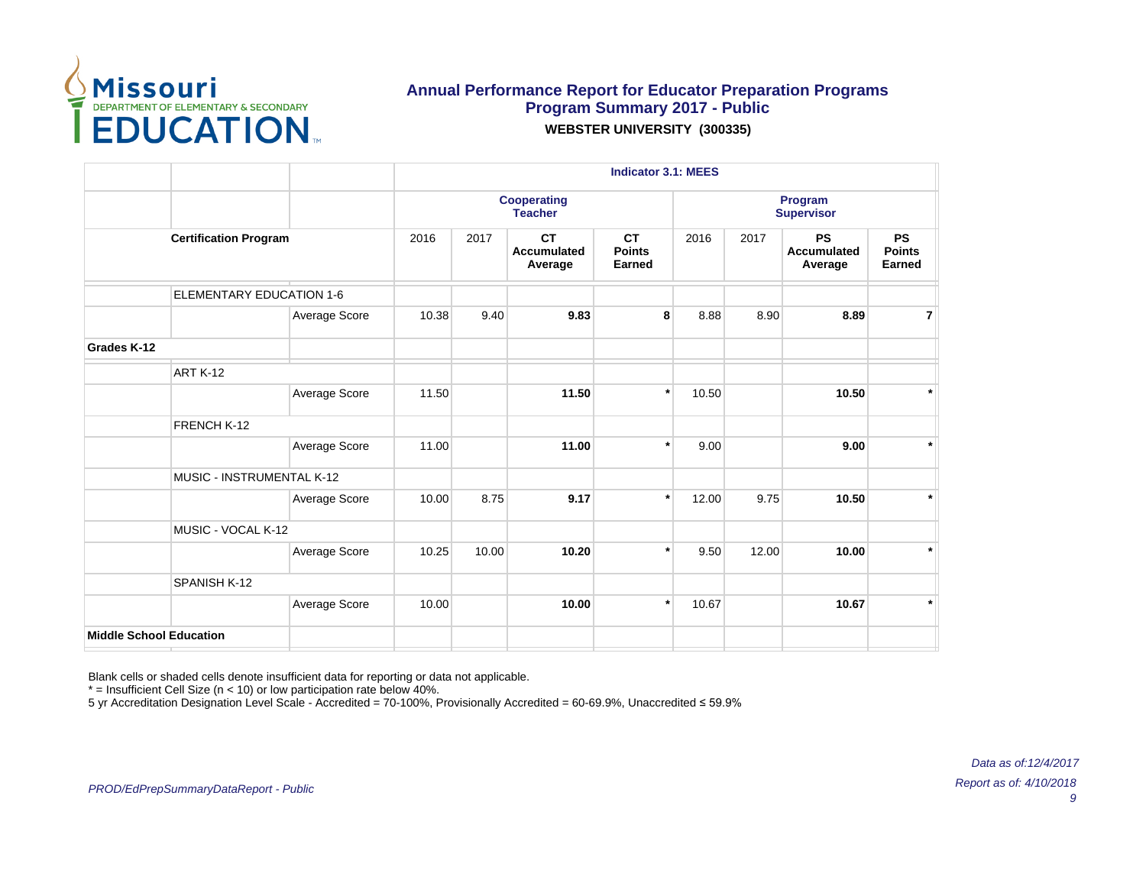

|                                 |               |       |       |                                            | <b>Indicator 3.1: MEES</b>           |       |       |                                            |                                      |
|---------------------------------|---------------|-------|-------|--------------------------------------------|--------------------------------------|-------|-------|--------------------------------------------|--------------------------------------|
|                                 |               |       |       | <b>Cooperating</b><br><b>Teacher</b>       |                                      |       |       | Program<br><b>Supervisor</b>               |                                      |
| <b>Certification Program</b>    |               | 2016  | 2017  | <b>CT</b><br><b>Accumulated</b><br>Average | <b>CT</b><br><b>Points</b><br>Earned | 2016  | 2017  | <b>PS</b><br><b>Accumulated</b><br>Average | <b>PS</b><br><b>Points</b><br>Earned |
| <b>ELEMENTARY EDUCATION 1-6</b> |               |       |       |                                            |                                      |       |       |                                            |                                      |
|                                 | Average Score | 10.38 | 9.40  | 9.83                                       | 8                                    | 8.88  | 8.90  | 8.89                                       | $\overline{7}$                       |
| Grades K-12                     |               |       |       |                                            |                                      |       |       |                                            |                                      |
| <b>ART K-12</b>                 |               |       |       |                                            |                                      |       |       |                                            |                                      |
|                                 | Average Score | 11.50 |       | 11.50                                      | $\star$                              | 10.50 |       | 10.50                                      | $\star$                              |
| FRENCH K-12                     |               |       |       |                                            |                                      |       |       |                                            |                                      |
|                                 | Average Score | 11.00 |       | 11.00                                      | $\ast$                               | 9.00  |       | 9.00                                       | $\star$                              |
| MUSIC - INSTRUMENTAL K-12       |               |       |       |                                            |                                      |       |       |                                            |                                      |
|                                 | Average Score | 10.00 | 8.75  | 9.17                                       | $\star$                              | 12.00 | 9.75  | 10.50                                      | $\star$                              |
| MUSIC - VOCAL K-12              |               |       |       |                                            |                                      |       |       |                                            |                                      |
|                                 | Average Score | 10.25 | 10.00 | 10.20                                      | $\star$                              | 9.50  | 12.00 | 10.00                                      | $\star$                              |
| SPANISH K-12                    |               |       |       |                                            |                                      |       |       |                                            |                                      |
|                                 | Average Score | 10.00 |       | 10.00                                      | $\star$                              | 10.67 |       | 10.67                                      | $\star$                              |
| <b>Middle School Education</b>  |               |       |       |                                            |                                      |       |       |                                            |                                      |

Blank cells or shaded cells denote insufficient data for reporting or data not applicable.

 $*$  = Insufficient Cell Size (n < 10) or low participation rate below 40%.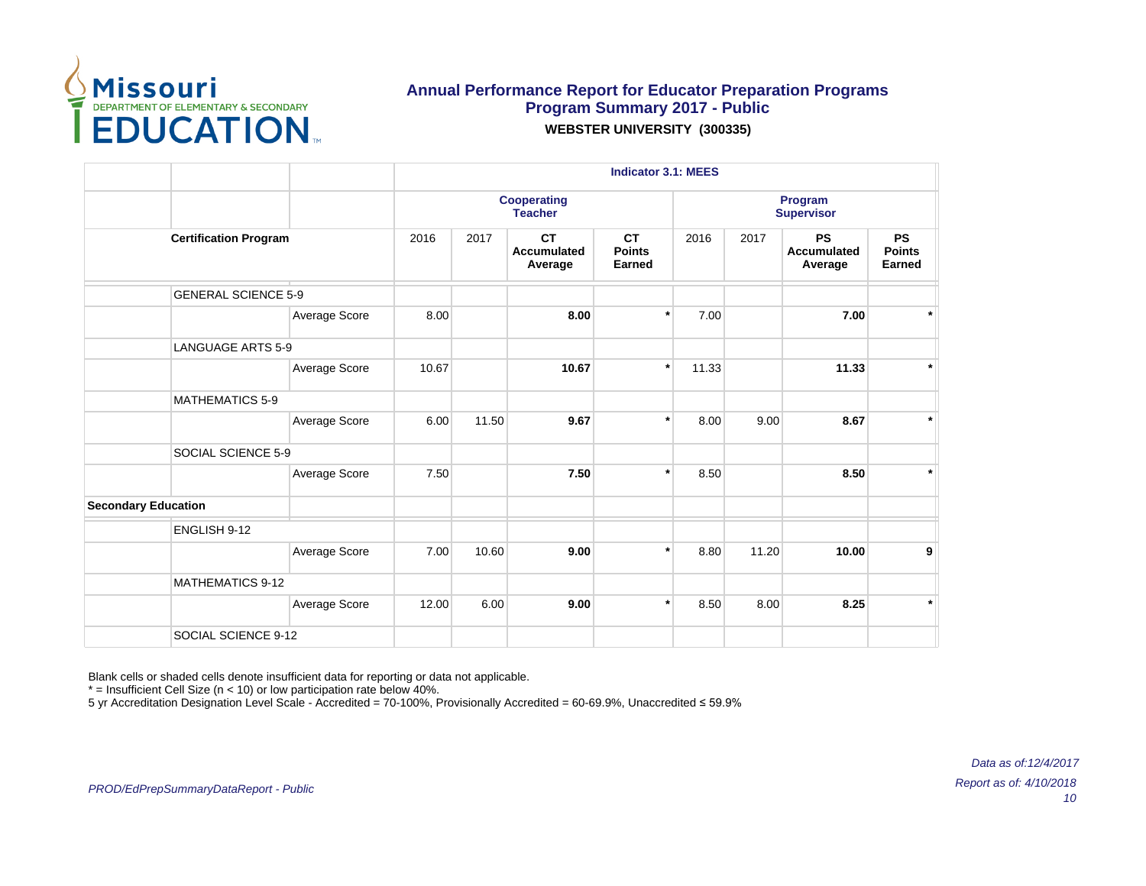

|                            |                              |               |       |       |                                            | <b>Indicator 3.1: MEES</b>           |       |       |                                            |                                      |
|----------------------------|------------------------------|---------------|-------|-------|--------------------------------------------|--------------------------------------|-------|-------|--------------------------------------------|--------------------------------------|
|                            |                              |               |       |       | <b>Cooperating</b><br><b>Teacher</b>       |                                      |       |       | Program<br><b>Supervisor</b>               |                                      |
|                            | <b>Certification Program</b> |               | 2016  | 2017  | <b>CT</b><br><b>Accumulated</b><br>Average | <b>CT</b><br><b>Points</b><br>Earned | 2016  | 2017  | <b>PS</b><br><b>Accumulated</b><br>Average | <b>PS</b><br><b>Points</b><br>Earned |
|                            | <b>GENERAL SCIENCE 5-9</b>   |               |       |       |                                            |                                      |       |       |                                            |                                      |
|                            |                              | Average Score | 8.00  |       | 8.00                                       | $\star$                              | 7.00  |       | 7.00                                       | $\star$                              |
|                            | <b>LANGUAGE ARTS 5-9</b>     |               |       |       |                                            |                                      |       |       |                                            |                                      |
|                            |                              | Average Score | 10.67 |       | 10.67                                      | $\star$                              | 11.33 |       | 11.33                                      | $\star$                              |
|                            | <b>MATHEMATICS 5-9</b>       |               |       |       |                                            |                                      |       |       |                                            |                                      |
|                            |                              | Average Score | 6.00  | 11.50 | 9.67                                       | $\star$                              | 8.00  | 9.00  | 8.67                                       | $\star$                              |
|                            | SOCIAL SCIENCE 5-9           |               |       |       |                                            |                                      |       |       |                                            |                                      |
|                            |                              | Average Score | 7.50  |       | 7.50                                       | $\star$                              | 8.50  |       | 8.50                                       | $\star$                              |
| <b>Secondary Education</b> |                              |               |       |       |                                            |                                      |       |       |                                            |                                      |
|                            | ENGLISH 9-12                 |               |       |       |                                            |                                      |       |       |                                            |                                      |
|                            |                              | Average Score | 7.00  | 10.60 | 9.00                                       | $\star$                              | 8.80  | 11.20 | 10.00                                      | 9                                    |
|                            | <b>MATHEMATICS 9-12</b>      |               |       |       |                                            |                                      |       |       |                                            |                                      |
|                            |                              | Average Score | 12.00 | 6.00  | 9.00                                       | $\star$                              | 8.50  | 8.00  | 8.25                                       | $\star$                              |
|                            | SOCIAL SCIENCE 9-12          |               |       |       |                                            |                                      |       |       |                                            |                                      |

Blank cells or shaded cells denote insufficient data for reporting or data not applicable.

 $*$  = Insufficient Cell Size (n < 10) or low participation rate below 40%.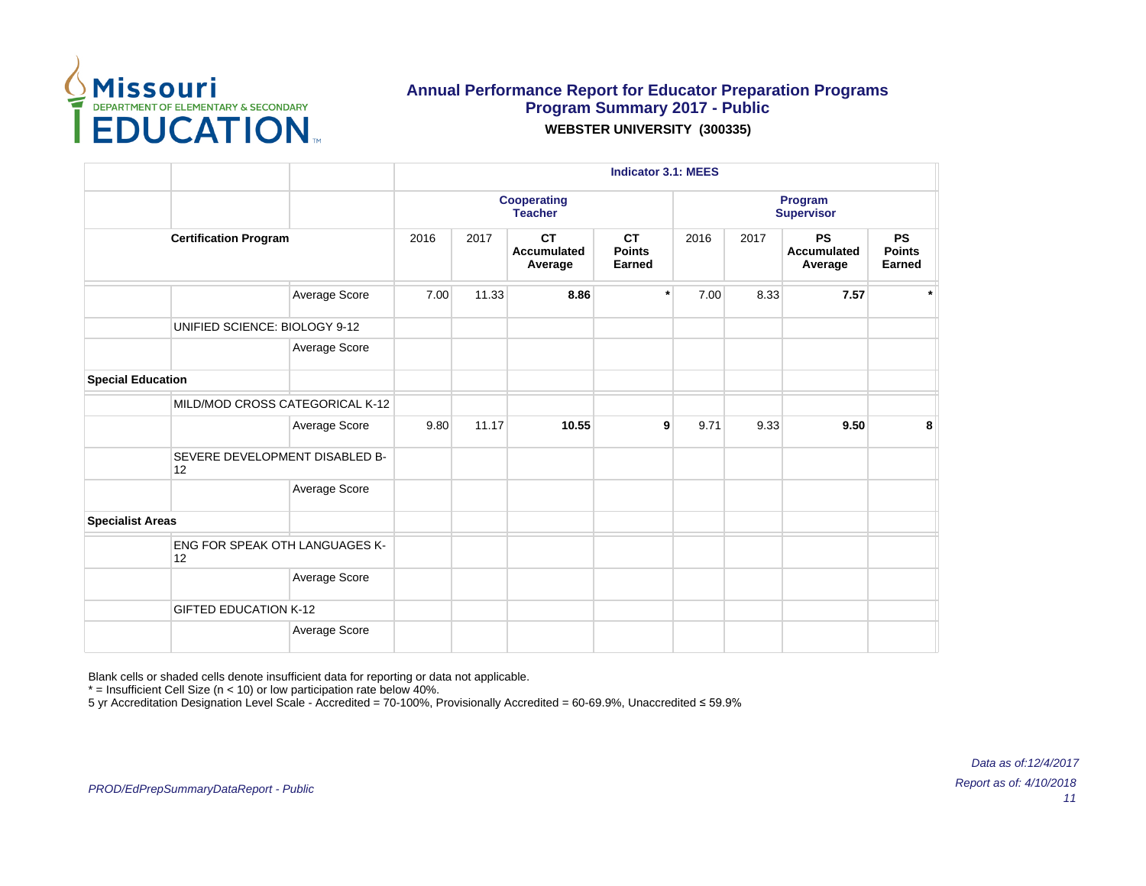

|                          |                                             |               |      |       |                                            | <b>Indicator 3.1: MEES</b>           |      |      |                                            |                                      |
|--------------------------|---------------------------------------------|---------------|------|-------|--------------------------------------------|--------------------------------------|------|------|--------------------------------------------|--------------------------------------|
|                          |                                             |               |      |       | <b>Cooperating</b><br><b>Teacher</b>       |                                      |      |      | Program<br><b>Supervisor</b>               |                                      |
|                          | <b>Certification Program</b>                |               | 2016 | 2017  | <b>CT</b><br><b>Accumulated</b><br>Average | <b>CT</b><br><b>Points</b><br>Earned | 2016 | 2017 | <b>PS</b><br><b>Accumulated</b><br>Average | <b>PS</b><br><b>Points</b><br>Earned |
|                          |                                             | Average Score | 7.00 | 11.33 | 8.86                                       | $\ast$                               | 7.00 | 8.33 | 7.57                                       |                                      |
|                          | UNIFIED SCIENCE: BIOLOGY 9-12               |               |      |       |                                            |                                      |      |      |                                            |                                      |
|                          |                                             | Average Score |      |       |                                            |                                      |      |      |                                            |                                      |
| <b>Special Education</b> |                                             |               |      |       |                                            |                                      |      |      |                                            |                                      |
|                          | MILD/MOD CROSS CATEGORICAL K-12             |               |      |       |                                            |                                      |      |      |                                            |                                      |
|                          |                                             | Average Score | 9.80 | 11.17 | 10.55                                      | 9                                    | 9.71 | 9.33 | 9.50                                       | 8                                    |
|                          | SEVERE DEVELOPMENT DISABLED B-<br>12        |               |      |       |                                            |                                      |      |      |                                            |                                      |
|                          |                                             | Average Score |      |       |                                            |                                      |      |      |                                            |                                      |
| <b>Specialist Areas</b>  |                                             |               |      |       |                                            |                                      |      |      |                                            |                                      |
|                          | <b>ENG FOR SPEAK OTH LANGUAGES K-</b><br>12 |               |      |       |                                            |                                      |      |      |                                            |                                      |
|                          |                                             | Average Score |      |       |                                            |                                      |      |      |                                            |                                      |
|                          | <b>GIFTED EDUCATION K-12</b>                |               |      |       |                                            |                                      |      |      |                                            |                                      |
|                          |                                             | Average Score |      |       |                                            |                                      |      |      |                                            |                                      |

Blank cells or shaded cells denote insufficient data for reporting or data not applicable.

 $*$  = Insufficient Cell Size (n < 10) or low participation rate below 40%.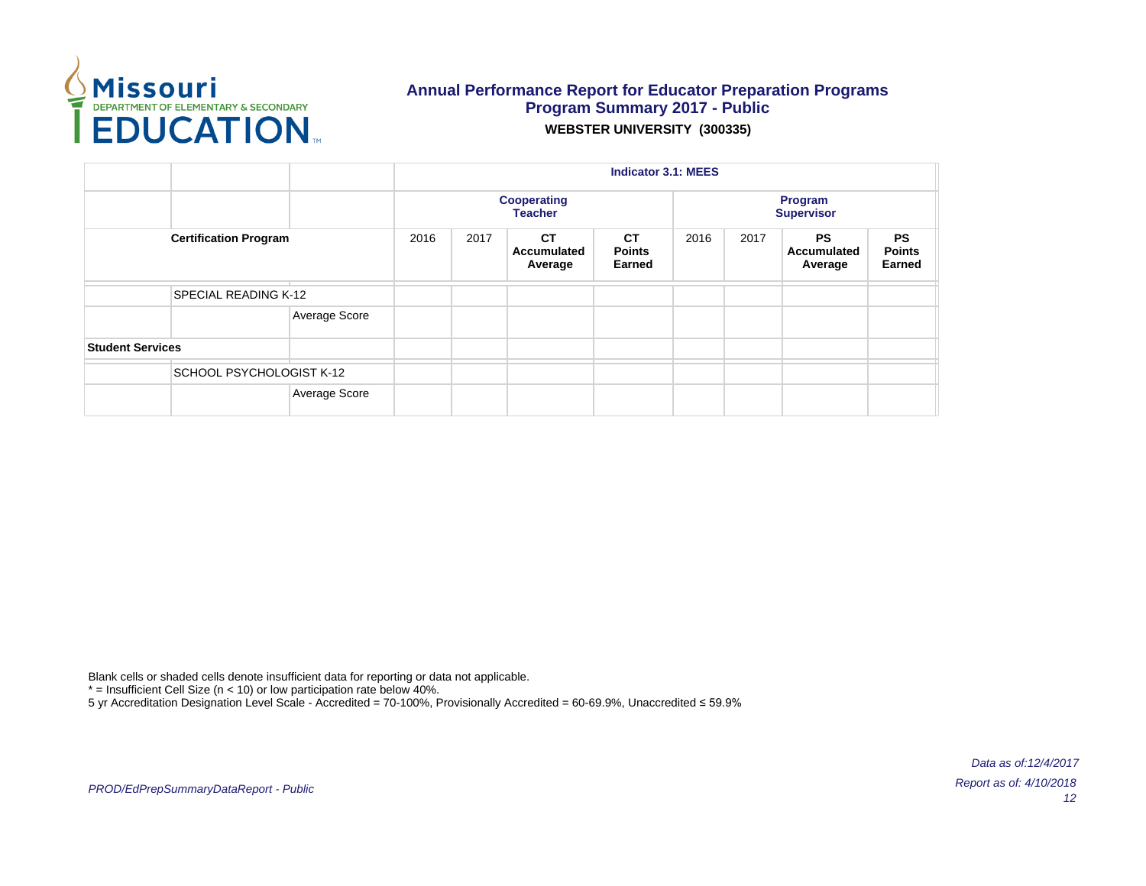

|                         |                              |               | <b>Indicator 3.1: MEES</b><br><b>Cooperating</b><br>Program<br><b>Teacher</b><br><b>Supervisor</b><br>2016<br><b>CT</b><br>2016<br><b>PS</b><br>2017<br><b>CT</b><br>2017<br><b>Points</b><br>Accumulated<br><b>Accumulated</b><br><b>Earned</b><br>Earned<br>Average<br>Average |  |  |  |  |  |  |
|-------------------------|------------------------------|---------------|----------------------------------------------------------------------------------------------------------------------------------------------------------------------------------------------------------------------------------------------------------------------------------|--|--|--|--|--|--|
|                         | <b>Certification Program</b> |               |                                                                                                                                                                                                                                                                                  |  |  |  |  |  |  |
|                         | <b>SPECIAL READING K-12</b>  |               |                                                                                                                                                                                                                                                                                  |  |  |  |  |  |  |
|                         |                              | Average Score |                                                                                                                                                                                                                                                                                  |  |  |  |  |  |  |
| <b>Student Services</b> |                              |               |                                                                                                                                                                                                                                                                                  |  |  |  |  |  |  |
|                         | SCHOOL PSYCHOLOGIST K-12     |               |                                                                                                                                                                                                                                                                                  |  |  |  |  |  |  |
|                         |                              | Average Score |                                                                                                                                                                                                                                                                                  |  |  |  |  |  |  |

Blank cells or shaded cells denote insufficient data for reporting or data not applicable.

 $*$  = Insufficient Cell Size (n < 10) or low participation rate below 40%.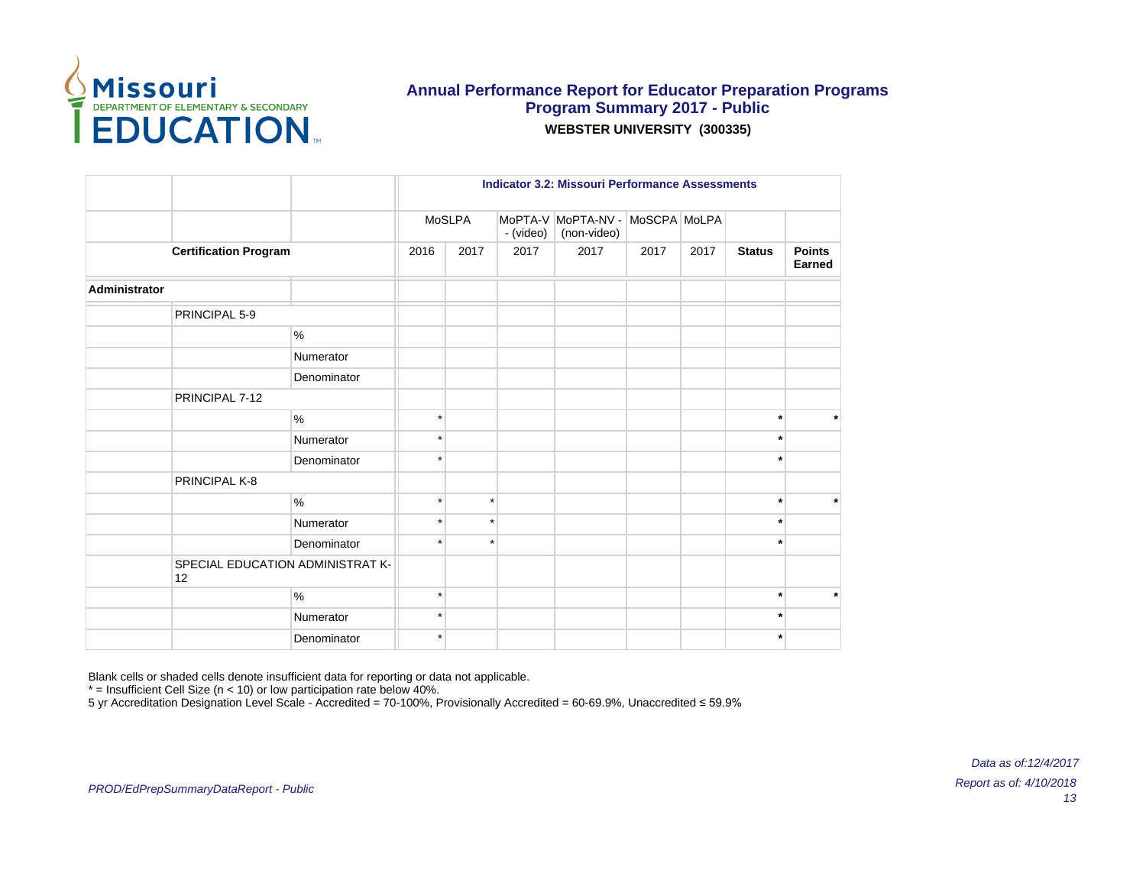

|                                        |             |         |         |           | <b>Indicator 3.2: Missouri Performance Assessments</b> |              |      |               |                         |
|----------------------------------------|-------------|---------|---------|-----------|--------------------------------------------------------|--------------|------|---------------|-------------------------|
|                                        |             |         | MoSLPA  | - (video) | MoPTA-V MoPTA-NV -<br>(non-video)                      | MoSCPA MoLPA |      |               |                         |
| <b>Certification Program</b>           |             | 2016    | 2017    | 2017      | 2017                                                   | 2017         | 2017 | <b>Status</b> | <b>Points</b><br>Earned |
| Administrator                          |             |         |         |           |                                                        |              |      |               |                         |
| PRINCIPAL 5-9                          |             |         |         |           |                                                        |              |      |               |                         |
|                                        | %           |         |         |           |                                                        |              |      |               |                         |
|                                        | Numerator   |         |         |           |                                                        |              |      |               |                         |
|                                        | Denominator |         |         |           |                                                        |              |      |               |                         |
| PRINCIPAL 7-12                         |             |         |         |           |                                                        |              |      |               |                         |
|                                        | $\%$        | $\star$ |         |           |                                                        |              |      |               | $\star$                 |
|                                        | Numerator   | $\star$ |         |           |                                                        |              |      |               |                         |
|                                        | Denominator | $\star$ |         |           |                                                        |              |      | $\ast$        |                         |
| PRINCIPAL K-8                          |             |         |         |           |                                                        |              |      |               |                         |
|                                        | %           | $\star$ | $\star$ |           |                                                        |              |      |               | $\star$                 |
|                                        | Numerator   | $\star$ | $\star$ |           |                                                        |              |      |               |                         |
|                                        | Denominator | $\star$ | $\star$ |           |                                                        |              |      | $\star$       |                         |
| SPECIAL EDUCATION ADMINISTRAT K-<br>12 |             |         |         |           |                                                        |              |      |               |                         |
|                                        | %           | $\star$ |         |           |                                                        |              |      | $\star$       | $\star$                 |
|                                        | Numerator   | $\star$ |         |           |                                                        |              |      |               |                         |
|                                        | Denominator | $\star$ |         |           |                                                        |              |      |               |                         |

Blank cells or shaded cells denote insufficient data for reporting or data not applicable.

 $*$  = Insufficient Cell Size (n < 10) or low participation rate below 40%.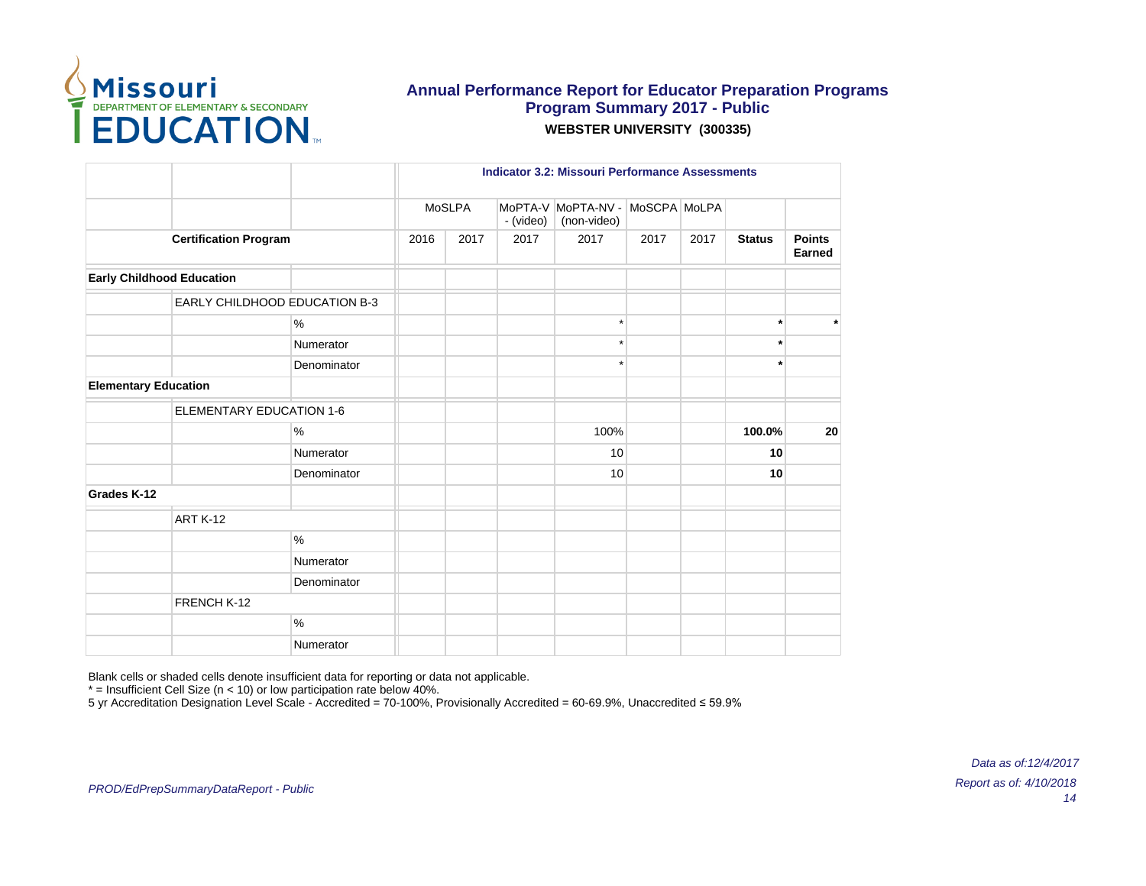

|                                  |                                      |             | <b>Indicator 3.2: Missouri Performance Assessments</b> |        |           |                                                |      |      |               |                         |
|----------------------------------|--------------------------------------|-------------|--------------------------------------------------------|--------|-----------|------------------------------------------------|------|------|---------------|-------------------------|
|                                  |                                      |             |                                                        | MoSLPA | - (video) | MoPTA-V MoPTA-NV - MoSCPA MoLPA<br>(non-video) |      |      |               |                         |
|                                  | <b>Certification Program</b>         |             | 2016                                                   | 2017   | 2017      | 2017                                           | 2017 | 2017 | <b>Status</b> | <b>Points</b><br>Earned |
| <b>Early Childhood Education</b> |                                      |             |                                                        |        |           |                                                |      |      |               |                         |
|                                  | <b>EARLY CHILDHOOD EDUCATION B-3</b> |             |                                                        |        |           |                                                |      |      |               |                         |
|                                  |                                      | %           |                                                        |        |           | $\star$                                        |      |      | $\star$       | $\star$                 |
|                                  |                                      | Numerator   |                                                        |        |           | $\star$                                        |      |      | $\star$       |                         |
|                                  |                                      | Denominator |                                                        |        |           | $\star$                                        |      |      | $\star$       |                         |
|                                  | <b>Elementary Education</b>          |             |                                                        |        |           |                                                |      |      |               |                         |
|                                  | <b>ELEMENTARY EDUCATION 1-6</b>      |             |                                                        |        |           |                                                |      |      |               |                         |
|                                  |                                      | %           |                                                        |        |           | 100%                                           |      |      | 100.0%        | 20                      |
|                                  |                                      | Numerator   |                                                        |        |           | 10                                             |      |      | 10            |                         |
|                                  |                                      | Denominator |                                                        |        |           | 10                                             |      |      | 10            |                         |
| Grades K-12                      |                                      |             |                                                        |        |           |                                                |      |      |               |                         |
|                                  | ART K-12                             |             |                                                        |        |           |                                                |      |      |               |                         |
|                                  |                                      | $\%$        |                                                        |        |           |                                                |      |      |               |                         |
|                                  |                                      | Numerator   |                                                        |        |           |                                                |      |      |               |                         |
|                                  |                                      | Denominator |                                                        |        |           |                                                |      |      |               |                         |
|                                  | FRENCH K-12                          |             |                                                        |        |           |                                                |      |      |               |                         |
|                                  |                                      | %           |                                                        |        |           |                                                |      |      |               |                         |
|                                  |                                      | Numerator   |                                                        |        |           |                                                |      |      |               |                         |

Blank cells or shaded cells denote insufficient data for reporting or data not applicable.

 $*$  = Insufficient Cell Size (n < 10) or low participation rate below 40%.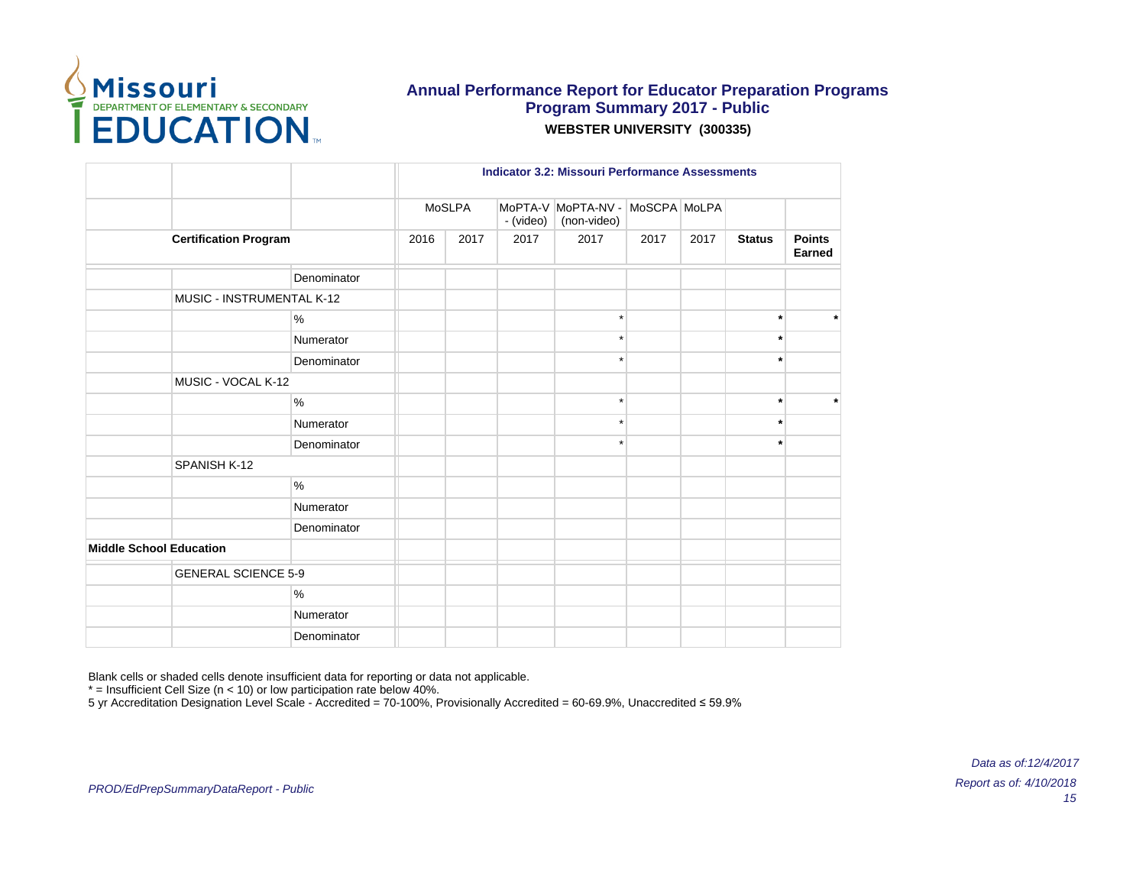

|                                |                              |      |        |      |                                                | <b>Indicator 3.2: Missouri Performance Assessments</b> |      |               |                         |  |  |  |
|--------------------------------|------------------------------|------|--------|------|------------------------------------------------|--------------------------------------------------------|------|---------------|-------------------------|--|--|--|
|                                |                              |      | MoSLPA |      | MoPTA-V MoPTA-NV - MoSCPA MoLPA<br>(non-video) |                                                        |      |               |                         |  |  |  |
|                                | <b>Certification Program</b> | 2016 | 2017   | 2017 | 2017                                           | 2017                                                   | 2017 | <b>Status</b> | <b>Points</b><br>Earned |  |  |  |
|                                | Denominator                  |      |        |      |                                                |                                                        |      |               |                         |  |  |  |
|                                | MUSIC - INSTRUMENTAL K-12    |      |        |      |                                                |                                                        |      |               |                         |  |  |  |
|                                | %                            |      |        |      | $\star$                                        |                                                        |      | $\star$       | $\star$                 |  |  |  |
|                                | Numerator                    |      |        |      | ÷                                              |                                                        |      | $\star$       |                         |  |  |  |
|                                | Denominator                  |      |        |      | $\star$                                        |                                                        |      | $^\ast$       |                         |  |  |  |
|                                | MUSIC - VOCAL K-12           |      |        |      |                                                |                                                        |      |               |                         |  |  |  |
|                                | $\%$                         |      |        |      | $\star$                                        |                                                        |      | $\star$       | $\ast$                  |  |  |  |
|                                | Numerator                    |      |        |      | $\star$                                        |                                                        |      | $\star$       |                         |  |  |  |
|                                | Denominator                  |      |        |      |                                                |                                                        |      | ٠             |                         |  |  |  |
| SPANISH K-12                   |                              |      |        |      |                                                |                                                        |      |               |                         |  |  |  |
|                                | $\%$                         |      |        |      |                                                |                                                        |      |               |                         |  |  |  |
|                                | Numerator                    |      |        |      |                                                |                                                        |      |               |                         |  |  |  |
|                                | Denominator                  |      |        |      |                                                |                                                        |      |               |                         |  |  |  |
| <b>Middle School Education</b> |                              |      |        |      |                                                |                                                        |      |               |                         |  |  |  |
|                                | <b>GENERAL SCIENCE 5-9</b>   |      |        |      |                                                |                                                        |      |               |                         |  |  |  |
|                                | $\%$                         |      |        |      |                                                |                                                        |      |               |                         |  |  |  |
|                                | Numerator                    |      |        |      |                                                |                                                        |      |               |                         |  |  |  |
|                                | Denominator                  |      |        |      |                                                |                                                        |      |               |                         |  |  |  |

Blank cells or shaded cells denote insufficient data for reporting or data not applicable.

 $*$  = Insufficient Cell Size (n < 10) or low participation rate below 40%.

5 yr Accreditation Designation Level Scale - Accredited = 70-100%, Provisionally Accredited = 60-69.9%, Unaccredited ≤ 59.9%

PROD/EdPrepSummaryDataReport - Public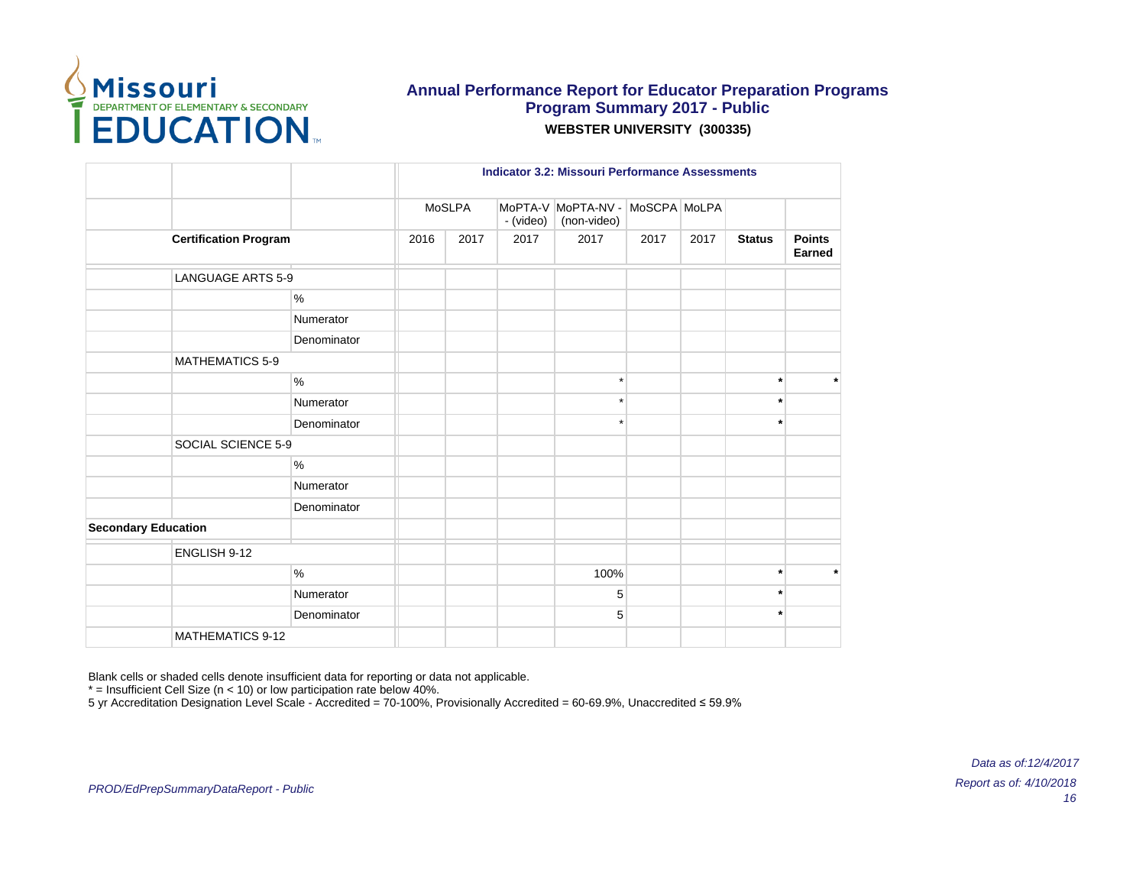

|                              |             |      | <b>Indicator 3.2: Missouri Performance Assessments</b> |           |                                                |      |      |               |                         |
|------------------------------|-------------|------|--------------------------------------------------------|-----------|------------------------------------------------|------|------|---------------|-------------------------|
|                              |             |      | MoSLPA                                                 | - (video) | MoPTA-V MoPTA-NV - MoSCPA MoLPA<br>(non-video) |      |      |               |                         |
| <b>Certification Program</b> |             | 2016 | 2017                                                   | 2017      | 2017                                           | 2017 | 2017 | <b>Status</b> | <b>Points</b><br>Earned |
| <b>LANGUAGE ARTS 5-9</b>     |             |      |                                                        |           |                                                |      |      |               |                         |
|                              | $\%$        |      |                                                        |           |                                                |      |      |               |                         |
|                              | Numerator   |      |                                                        |           |                                                |      |      |               |                         |
|                              | Denominator |      |                                                        |           |                                                |      |      |               |                         |
| <b>MATHEMATICS 5-9</b>       |             |      |                                                        |           |                                                |      |      |               |                         |
|                              | $\%$        |      |                                                        |           | $\star$                                        |      |      | $\ast$        | $\star$                 |
|                              | Numerator   |      |                                                        |           | $\star$                                        |      |      | $\ast$        |                         |
|                              | Denominator |      |                                                        |           | $\star$                                        |      |      | $\star$       |                         |
| SOCIAL SCIENCE 5-9           |             |      |                                                        |           |                                                |      |      |               |                         |
|                              | $\%$        |      |                                                        |           |                                                |      |      |               |                         |
|                              | Numerator   |      |                                                        |           |                                                |      |      |               |                         |
|                              | Denominator |      |                                                        |           |                                                |      |      |               |                         |
| <b>Secondary Education</b>   |             |      |                                                        |           |                                                |      |      |               |                         |
| ENGLISH 9-12                 |             |      |                                                        |           |                                                |      |      |               |                         |
|                              | $\%$        |      |                                                        |           | 100%                                           |      |      | $\star$       | $\star$                 |
|                              | Numerator   |      |                                                        |           | 5                                              |      |      | $\ast$        |                         |
|                              | Denominator |      |                                                        |           | 5                                              |      |      | $\star$       |                         |
| <b>MATHEMATICS 9-12</b>      |             |      |                                                        |           |                                                |      |      |               |                         |

Blank cells or shaded cells denote insufficient data for reporting or data not applicable.

 $*$  = Insufficient Cell Size (n < 10) or low participation rate below 40%.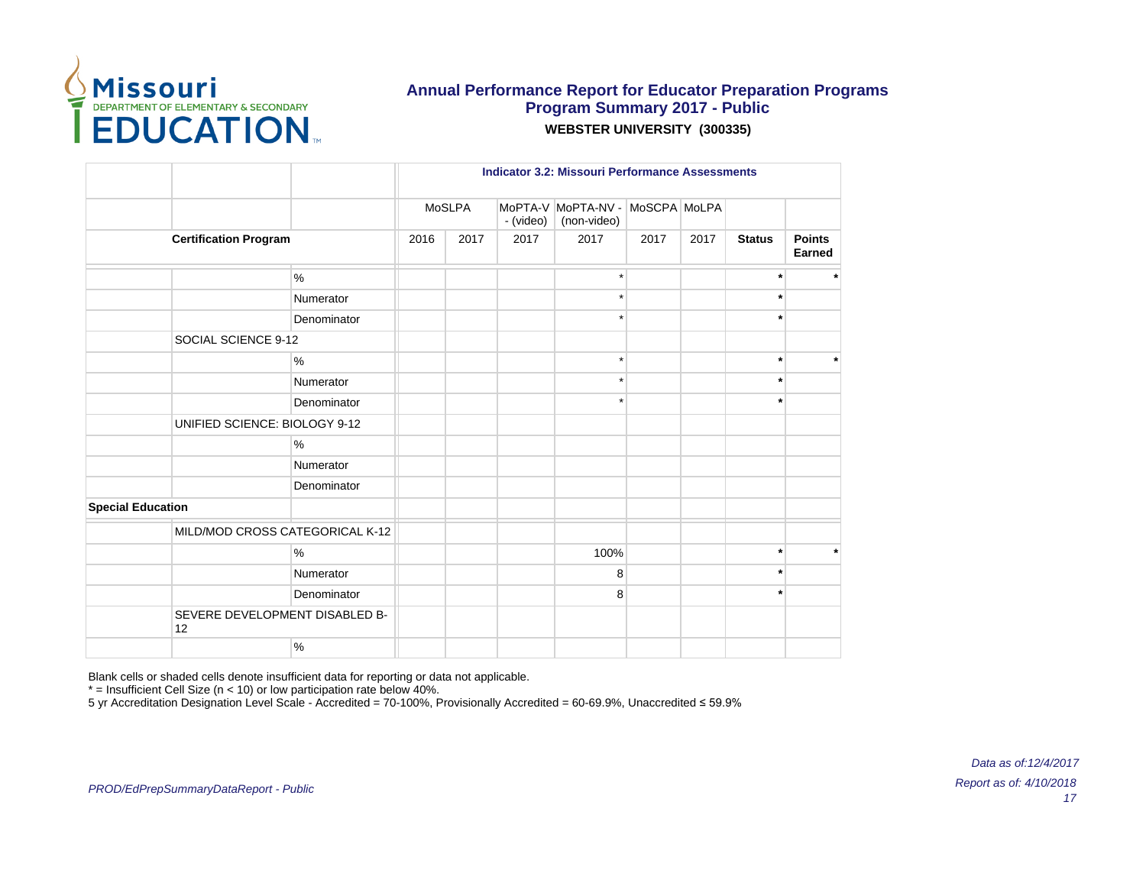

|                               |                                 |      |        | <b>Indicator 3.2: Missouri Performance Assessments</b> |                                   |              |      |               |                         |  |
|-------------------------------|---------------------------------|------|--------|--------------------------------------------------------|-----------------------------------|--------------|------|---------------|-------------------------|--|
|                               |                                 |      | MoSLPA | - (video)                                              | MoPTA-V MoPTA-NV -<br>(non-video) | MoSCPA MoLPA |      |               |                         |  |
| <b>Certification Program</b>  |                                 | 2016 | 2017   | 2017                                                   | 2017                              | 2017         | 2017 | <b>Status</b> | <b>Points</b><br>Earned |  |
|                               | %                               |      |        |                                                        |                                   |              |      | $\star$       | $\star$                 |  |
|                               | Numerator                       |      |        |                                                        | $\star$                           |              |      | $\ast$        |                         |  |
|                               | Denominator                     |      |        |                                                        |                                   |              |      | $\star$       |                         |  |
| SOCIAL SCIENCE 9-12           |                                 |      |        |                                                        |                                   |              |      |               |                         |  |
|                               | $\%$                            |      |        |                                                        | $\star$                           |              |      | $\star$       | $\star$                 |  |
|                               | Numerator                       |      |        |                                                        |                                   |              |      |               |                         |  |
|                               | Denominator                     |      |        |                                                        |                                   |              |      | $\star$       |                         |  |
| UNIFIED SCIENCE: BIOLOGY 9-12 |                                 |      |        |                                                        |                                   |              |      |               |                         |  |
|                               | %                               |      |        |                                                        |                                   |              |      |               |                         |  |
|                               | Numerator                       |      |        |                                                        |                                   |              |      |               |                         |  |
|                               | Denominator                     |      |        |                                                        |                                   |              |      |               |                         |  |
| <b>Special Education</b>      |                                 |      |        |                                                        |                                   |              |      |               |                         |  |
|                               | MILD/MOD CROSS CATEGORICAL K-12 |      |        |                                                        |                                   |              |      |               |                         |  |
|                               | %                               |      |        |                                                        | 100%                              |              |      | $\star$       | $\star$                 |  |
|                               | Numerator                       |      |        |                                                        | 8                                 |              |      | $\star$       |                         |  |
|                               | Denominator                     |      |        |                                                        | 8                                 |              |      |               |                         |  |
| 12                            | SEVERE DEVELOPMENT DISABLED B-  |      |        |                                                        |                                   |              |      |               |                         |  |
|                               | %                               |      |        |                                                        |                                   |              |      |               |                         |  |

Blank cells or shaded cells denote insufficient data for reporting or data not applicable.

 $*$  = Insufficient Cell Size (n < 10) or low participation rate below 40%.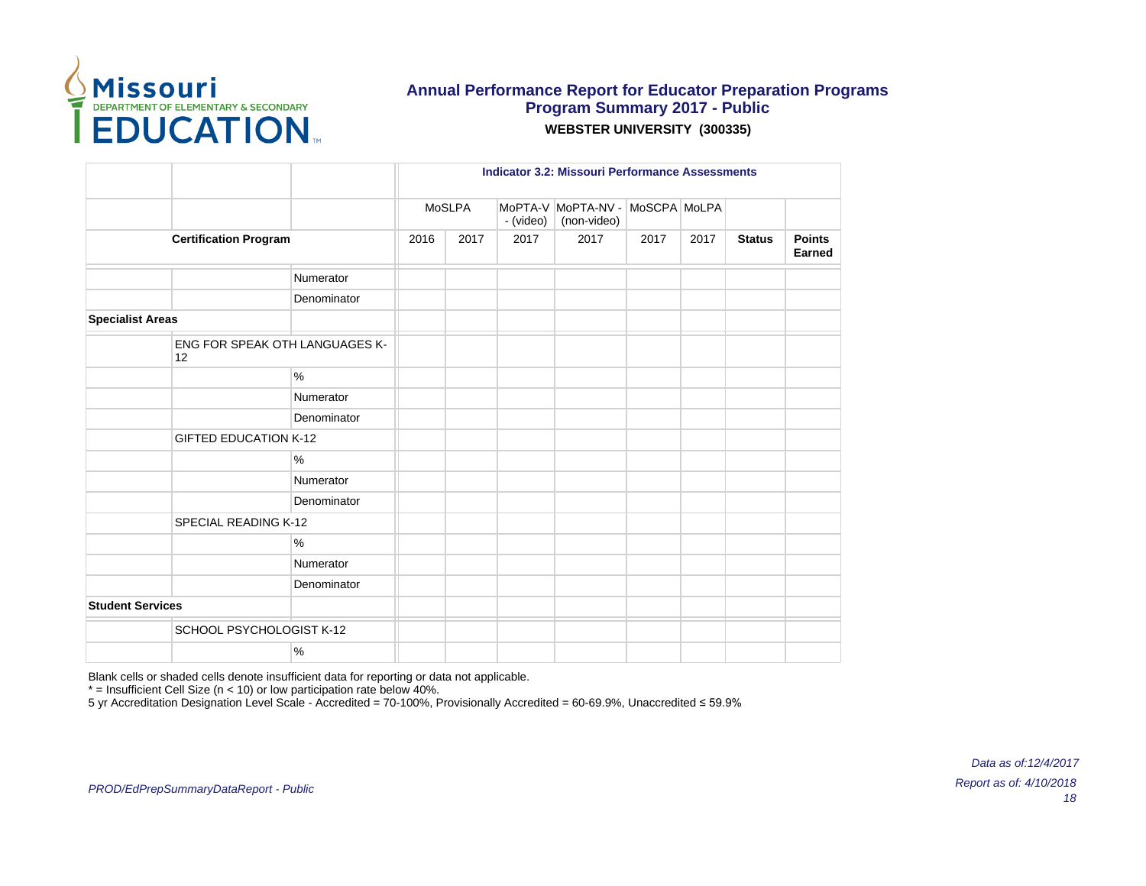

|                         |                                             |             | <b>Indicator 3.2: Missouri Performance Assessments</b> |        |           |                                   |              |      |               |                         |
|-------------------------|---------------------------------------------|-------------|--------------------------------------------------------|--------|-----------|-----------------------------------|--------------|------|---------------|-------------------------|
|                         |                                             |             |                                                        | MoSLPA | - (video) | MoPTA-V MoPTA-NV -<br>(non-video) | MoSCPA MoLPA |      |               |                         |
|                         | <b>Certification Program</b>                |             | 2016                                                   | 2017   | 2017      | 2017                              | 2017         | 2017 | <b>Status</b> | <b>Points</b><br>Earned |
|                         |                                             | Numerator   |                                                        |        |           |                                   |              |      |               |                         |
|                         |                                             | Denominator |                                                        |        |           |                                   |              |      |               |                         |
| <b>Specialist Areas</b> |                                             |             |                                                        |        |           |                                   |              |      |               |                         |
|                         | <b>ENG FOR SPEAK OTH LANGUAGES K-</b><br>12 |             |                                                        |        |           |                                   |              |      |               |                         |
|                         |                                             | %           |                                                        |        |           |                                   |              |      |               |                         |
|                         |                                             | Numerator   |                                                        |        |           |                                   |              |      |               |                         |
|                         | Denominator                                 |             |                                                        |        |           |                                   |              |      |               |                         |
|                         | <b>GIFTED EDUCATION K-12</b>                |             |                                                        |        |           |                                   |              |      |               |                         |
|                         |                                             | $\%$        |                                                        |        |           |                                   |              |      |               |                         |
|                         |                                             | Numerator   |                                                        |        |           |                                   |              |      |               |                         |
|                         |                                             | Denominator |                                                        |        |           |                                   |              |      |               |                         |
|                         | SPECIAL READING K-12                        |             |                                                        |        |           |                                   |              |      |               |                         |
|                         |                                             | $\%$        |                                                        |        |           |                                   |              |      |               |                         |
|                         |                                             | Numerator   |                                                        |        |           |                                   |              |      |               |                         |
|                         |                                             | Denominator |                                                        |        |           |                                   |              |      |               |                         |
| <b>Student Services</b> |                                             |             |                                                        |        |           |                                   |              |      |               |                         |
|                         | SCHOOL PSYCHOLOGIST K-12                    |             |                                                        |        |           |                                   |              |      |               |                         |
|                         |                                             | $\%$        |                                                        |        |           |                                   |              |      |               |                         |

Blank cells or shaded cells denote insufficient data for reporting or data not applicable.

 $*$  = Insufficient Cell Size (n < 10) or low participation rate below 40%.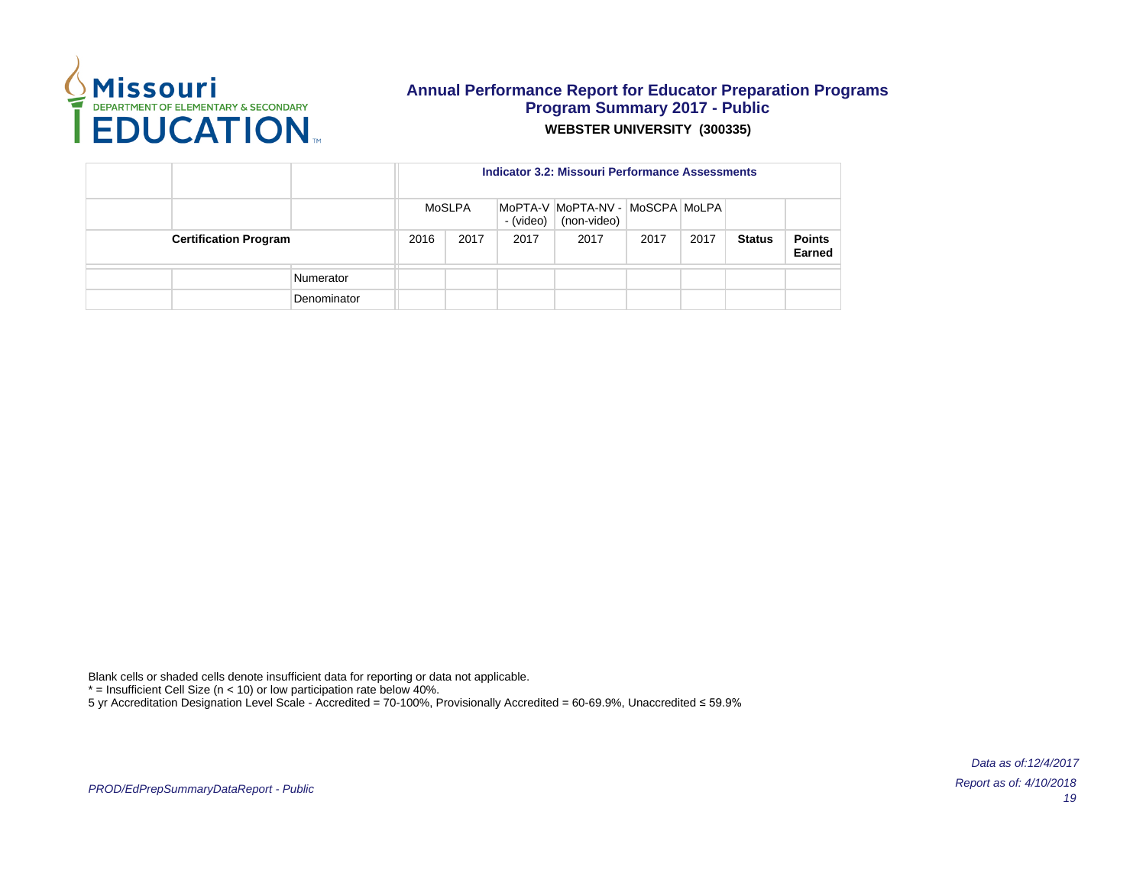

|                              |  |             |      | Indicator 3.2: Missouri Performance Assessments |           |                                                |      |      |               |                         |  |  |  |  |
|------------------------------|--|-------------|------|-------------------------------------------------|-----------|------------------------------------------------|------|------|---------------|-------------------------|--|--|--|--|
|                              |  |             |      | MoSLPA                                          | - (video) | MoPTA-V MoPTA-NV - MoSCPA MoLPA<br>(non-video) |      |      |               |                         |  |  |  |  |
| <b>Certification Program</b> |  |             | 2016 | 2017                                            | 2017      | 2017                                           | 2017 | 2017 | <b>Status</b> | <b>Points</b><br>Earned |  |  |  |  |
|                              |  | Numerator   |      |                                                 |           |                                                |      |      |               |                         |  |  |  |  |
|                              |  | Denominator |      |                                                 |           |                                                |      |      |               |                         |  |  |  |  |

Blank cells or shaded cells denote insufficient data for reporting or data not applicable.

 $*$  = Insufficient Cell Size (n < 10) or low participation rate below 40%.

5 yr Accreditation Designation Level Scale - Accredited = 70-100%, Provisionally Accredited = 60-69.9%, Unaccredited ≤ 59.9%

PROD/EdPrepSummaryDataReport - Public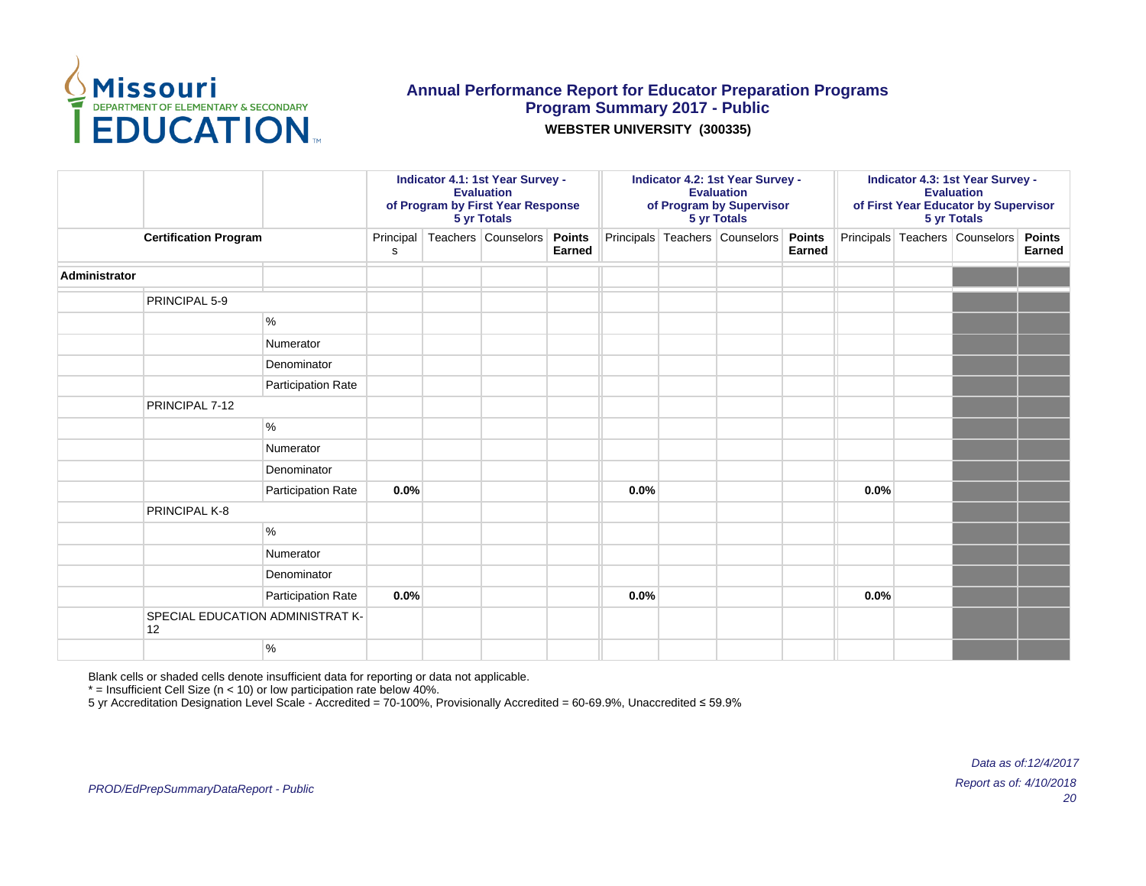

**WEBSTER UNIVERSITY (300335)**

|               |                                        |                    |                | Indicator 4.1: 1st Year Survey -<br><b>Evaluation</b><br>of Program by First Year Response<br>5 yr Totals |                     |                         |      | Indicator 4.2: 1st Year Survey -<br><b>Evaluation</b><br>of Program by Supervisor<br>5 yr Totals |                                       |        |      | Indicator 4.3: 1st Year Survey -<br><b>Evaluation</b><br>of First Year Educator by Supervisor<br>5 yr Totals |                                |                         |  |
|---------------|----------------------------------------|--------------------|----------------|-----------------------------------------------------------------------------------------------------------|---------------------|-------------------------|------|--------------------------------------------------------------------------------------------------|---------------------------------------|--------|------|--------------------------------------------------------------------------------------------------------------|--------------------------------|-------------------------|--|
|               | <b>Certification Program</b>           |                    | Principal<br>s |                                                                                                           | Teachers Counselors | <b>Points</b><br>Earned |      |                                                                                                  | Principals Teachers Counselors Points | Earned |      |                                                                                                              | Principals Teachers Counselors | <b>Points</b><br>Earned |  |
| Administrator |                                        |                    |                |                                                                                                           |                     |                         |      |                                                                                                  |                                       |        |      |                                                                                                              |                                |                         |  |
|               | PRINCIPAL 5-9                          |                    |                |                                                                                                           |                     |                         |      |                                                                                                  |                                       |        |      |                                                                                                              |                                |                         |  |
|               |                                        | $\%$               |                |                                                                                                           |                     |                         |      |                                                                                                  |                                       |        |      |                                                                                                              |                                |                         |  |
|               |                                        | Numerator          |                |                                                                                                           |                     |                         |      |                                                                                                  |                                       |        |      |                                                                                                              |                                |                         |  |
|               |                                        | Denominator        |                |                                                                                                           |                     |                         |      |                                                                                                  |                                       |        |      |                                                                                                              |                                |                         |  |
|               |                                        | Participation Rate |                |                                                                                                           |                     |                         |      |                                                                                                  |                                       |        |      |                                                                                                              |                                |                         |  |
|               | PRINCIPAL 7-12                         |                    |                |                                                                                                           |                     |                         |      |                                                                                                  |                                       |        |      |                                                                                                              |                                |                         |  |
|               | $\%$                                   |                    |                |                                                                                                           |                     |                         |      |                                                                                                  |                                       |        |      |                                                                                                              |                                |                         |  |
|               |                                        | Numerator          |                |                                                                                                           |                     |                         |      |                                                                                                  |                                       |        |      |                                                                                                              |                                |                         |  |
|               |                                        | Denominator        |                |                                                                                                           |                     |                         |      |                                                                                                  |                                       |        |      |                                                                                                              |                                |                         |  |
|               |                                        | Participation Rate | 0.0%           |                                                                                                           |                     |                         | 0.0% |                                                                                                  |                                       |        | 0.0% |                                                                                                              |                                |                         |  |
|               | PRINCIPAL K-8                          |                    |                |                                                                                                           |                     |                         |      |                                                                                                  |                                       |        |      |                                                                                                              |                                |                         |  |
|               |                                        | $\%$               |                |                                                                                                           |                     |                         |      |                                                                                                  |                                       |        |      |                                                                                                              |                                |                         |  |
|               |                                        | Numerator          |                |                                                                                                           |                     |                         |      |                                                                                                  |                                       |        |      |                                                                                                              |                                |                         |  |
|               |                                        | Denominator        |                |                                                                                                           |                     |                         |      |                                                                                                  |                                       |        |      |                                                                                                              |                                |                         |  |
|               |                                        | Participation Rate | 0.0%           |                                                                                                           |                     |                         | 0.0% |                                                                                                  |                                       |        | 0.0% |                                                                                                              |                                |                         |  |
|               | SPECIAL EDUCATION ADMINISTRAT K-<br>12 |                    |                |                                                                                                           |                     |                         |      |                                                                                                  |                                       |        |      |                                                                                                              |                                |                         |  |
|               |                                        | $\%$               |                |                                                                                                           |                     |                         |      |                                                                                                  |                                       |        |      |                                                                                                              |                                |                         |  |

Blank cells or shaded cells denote insufficient data for reporting or data not applicable.

 $*$  = Insufficient Cell Size (n < 10) or low participation rate below 40%.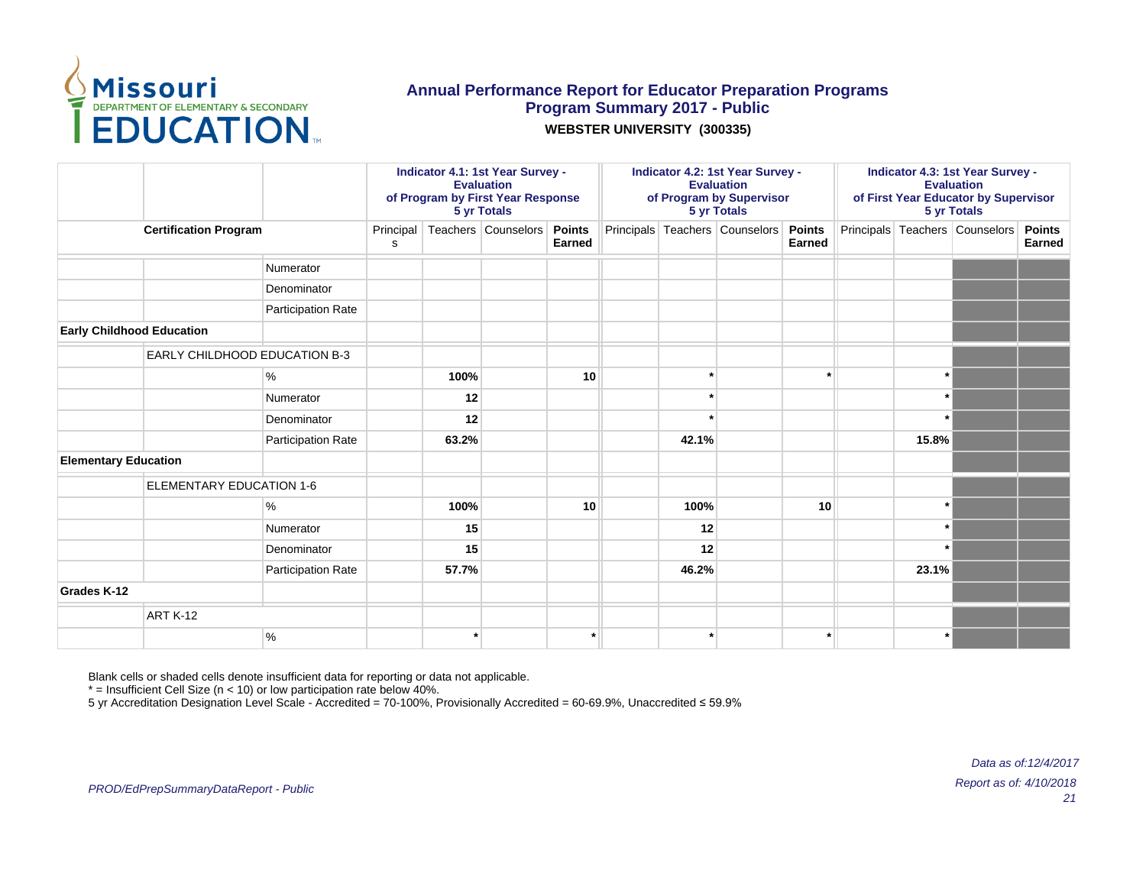

#### **WEBSTER UNIVERSITY (300335)**

|                                  |                                      |                    |                | Indicator 4.1: 1st Year Survey -<br><b>Evaluation</b><br>of Program by First Year Response<br>5 yr Totals |                     |                         |  | Indicator 4.2: 1st Year Survey -<br><b>Evaluation</b><br>of Program by Supervisor<br>5 yr Totals |                                       |        |  | Indicator 4.3: 1st Year Survey -<br><b>Evaluation</b><br>of First Year Educator by Supervisor<br>5 yr Totals |                                |                         |  |
|----------------------------------|--------------------------------------|--------------------|----------------|-----------------------------------------------------------------------------------------------------------|---------------------|-------------------------|--|--------------------------------------------------------------------------------------------------|---------------------------------------|--------|--|--------------------------------------------------------------------------------------------------------------|--------------------------------|-------------------------|--|
|                                  | <b>Certification Program</b>         |                    | Principal<br>s |                                                                                                           | Teachers Counselors | <b>Points</b><br>Earned |  |                                                                                                  | Principals Teachers Counselors Points | Earned |  |                                                                                                              | Principals Teachers Counselors | <b>Points</b><br>Earned |  |
|                                  |                                      | Numerator          |                |                                                                                                           |                     |                         |  |                                                                                                  |                                       |        |  |                                                                                                              |                                |                         |  |
|                                  |                                      | Denominator        |                |                                                                                                           |                     |                         |  |                                                                                                  |                                       |        |  |                                                                                                              |                                |                         |  |
|                                  |                                      | Participation Rate |                |                                                                                                           |                     |                         |  |                                                                                                  |                                       |        |  |                                                                                                              |                                |                         |  |
| <b>Early Childhood Education</b> |                                      |                    |                |                                                                                                           |                     |                         |  |                                                                                                  |                                       |        |  |                                                                                                              |                                |                         |  |
|                                  | <b>EARLY CHILDHOOD EDUCATION B-3</b> |                    |                |                                                                                                           |                     |                         |  |                                                                                                  |                                       |        |  |                                                                                                              |                                |                         |  |
|                                  |                                      | ℅                  |                | 100%                                                                                                      |                     | 10                      |  |                                                                                                  |                                       |        |  |                                                                                                              |                                |                         |  |
|                                  |                                      | Numerator          |                | 12                                                                                                        |                     |                         |  |                                                                                                  |                                       |        |  |                                                                                                              |                                |                         |  |
|                                  | Denominator                          |                    |                | 12                                                                                                        |                     |                         |  |                                                                                                  |                                       |        |  |                                                                                                              |                                |                         |  |
|                                  |                                      | Participation Rate |                | 63.2%                                                                                                     |                     |                         |  | 42.1%                                                                                            |                                       |        |  | 15.8%                                                                                                        |                                |                         |  |
| <b>Elementary Education</b>      |                                      |                    |                |                                                                                                           |                     |                         |  |                                                                                                  |                                       |        |  |                                                                                                              |                                |                         |  |
|                                  | ELEMENTARY EDUCATION 1-6             |                    |                |                                                                                                           |                     |                         |  |                                                                                                  |                                       |        |  |                                                                                                              |                                |                         |  |
|                                  |                                      | $\%$               |                | 100%                                                                                                      |                     | 10                      |  | 100%                                                                                             |                                       | 10     |  |                                                                                                              |                                |                         |  |
|                                  |                                      | Numerator          |                | 15                                                                                                        |                     |                         |  | 12                                                                                               |                                       |        |  |                                                                                                              |                                |                         |  |
|                                  |                                      | Denominator        |                | 15                                                                                                        |                     |                         |  | 12                                                                                               |                                       |        |  |                                                                                                              |                                |                         |  |
|                                  |                                      | Participation Rate |                | 57.7%                                                                                                     |                     |                         |  | 46.2%                                                                                            |                                       |        |  | 23.1%                                                                                                        |                                |                         |  |
| <b>Grades K-12</b>               |                                      |                    |                |                                                                                                           |                     |                         |  |                                                                                                  |                                       |        |  |                                                                                                              |                                |                         |  |
|                                  | ART K-12                             |                    |                |                                                                                                           |                     |                         |  |                                                                                                  |                                       |        |  |                                                                                                              |                                |                         |  |
|                                  |                                      | %                  |                |                                                                                                           |                     |                         |  |                                                                                                  |                                       |        |  |                                                                                                              |                                |                         |  |

Blank cells or shaded cells denote insufficient data for reporting or data not applicable.

 $*$  = Insufficient Cell Size ( $n$  < 10) or low participation rate below 40%.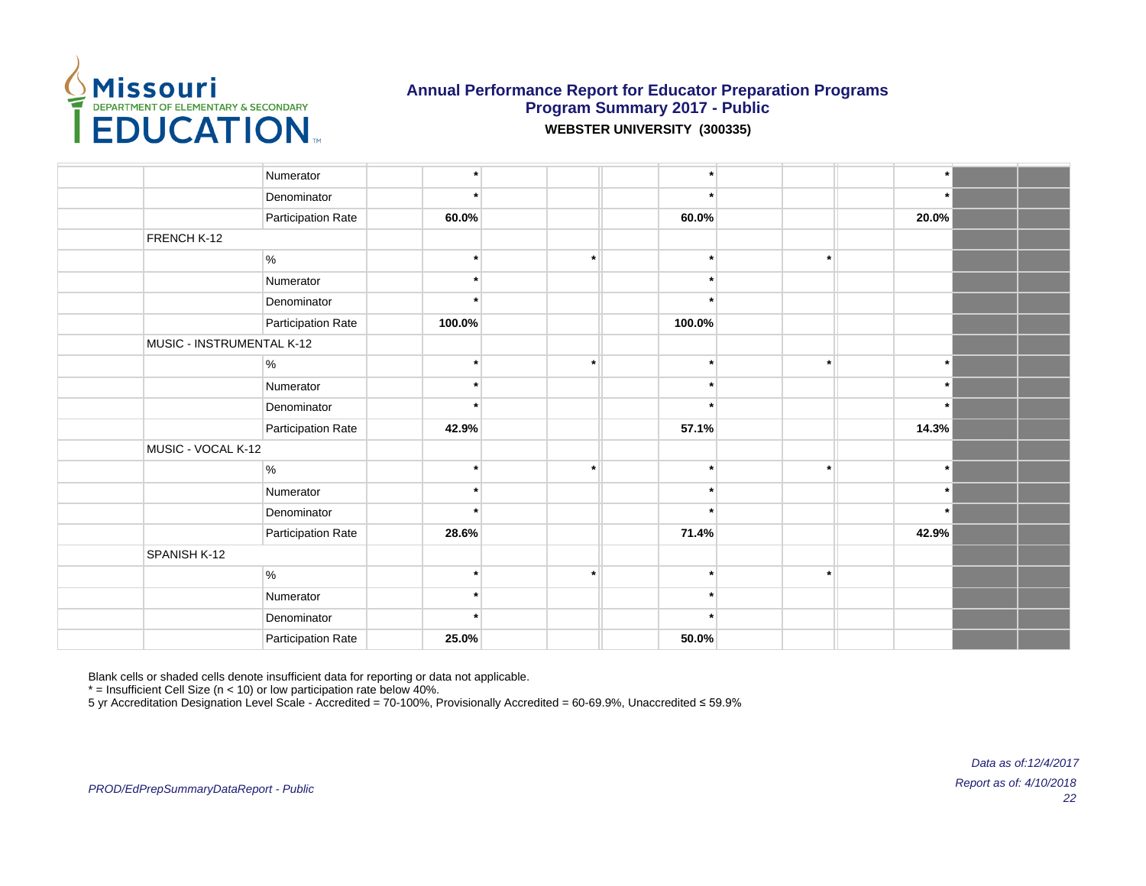

**WEBSTER UNIVERSITY (300335)**

| Numerator<br>$\ddot{\phantom{0}}$<br>Denominator<br>$\star$<br>$\star$<br>Participation Rate<br>60.0%<br>60.0%<br>20.0%<br>FRENCH K-12<br>$\%$<br>$\ast$<br>$\star$<br>$\star$<br>$\star$<br>$\star$<br>Numerator<br>Denominator<br>$\ddot{\phantom{0}}$<br>Participation Rate<br>100.0%<br>100.0%<br>MUSIC - INSTRUMENTAL K-12<br>%<br>$\star$<br>$\star$<br>$\cdot$<br>Numerator<br>$\star$<br>$\star$<br>Denominator<br>$\star$<br>Participation Rate<br>57.1%<br>14.3%<br>42.9%<br>MUSIC - VOCAL K-12<br>$\%$<br>$\star$<br>$\star$<br>$\star$<br>Numerator<br>$\star$<br>$\star$<br>$\star$<br>Denominator<br>$\star$<br>28.6%<br>71.4%<br>42.9%<br>Participation Rate |              |  |  |  |
|-----------------------------------------------------------------------------------------------------------------------------------------------------------------------------------------------------------------------------------------------------------------------------------------------------------------------------------------------------------------------------------------------------------------------------------------------------------------------------------------------------------------------------------------------------------------------------------------------------------------------------------------------------------------------------|--------------|--|--|--|
|                                                                                                                                                                                                                                                                                                                                                                                                                                                                                                                                                                                                                                                                             |              |  |  |  |
|                                                                                                                                                                                                                                                                                                                                                                                                                                                                                                                                                                                                                                                                             |              |  |  |  |
|                                                                                                                                                                                                                                                                                                                                                                                                                                                                                                                                                                                                                                                                             |              |  |  |  |
|                                                                                                                                                                                                                                                                                                                                                                                                                                                                                                                                                                                                                                                                             |              |  |  |  |
|                                                                                                                                                                                                                                                                                                                                                                                                                                                                                                                                                                                                                                                                             |              |  |  |  |
|                                                                                                                                                                                                                                                                                                                                                                                                                                                                                                                                                                                                                                                                             |              |  |  |  |
|                                                                                                                                                                                                                                                                                                                                                                                                                                                                                                                                                                                                                                                                             |              |  |  |  |
|                                                                                                                                                                                                                                                                                                                                                                                                                                                                                                                                                                                                                                                                             |              |  |  |  |
|                                                                                                                                                                                                                                                                                                                                                                                                                                                                                                                                                                                                                                                                             |              |  |  |  |
|                                                                                                                                                                                                                                                                                                                                                                                                                                                                                                                                                                                                                                                                             |              |  |  |  |
|                                                                                                                                                                                                                                                                                                                                                                                                                                                                                                                                                                                                                                                                             |              |  |  |  |
|                                                                                                                                                                                                                                                                                                                                                                                                                                                                                                                                                                                                                                                                             |              |  |  |  |
|                                                                                                                                                                                                                                                                                                                                                                                                                                                                                                                                                                                                                                                                             |              |  |  |  |
|                                                                                                                                                                                                                                                                                                                                                                                                                                                                                                                                                                                                                                                                             |              |  |  |  |
|                                                                                                                                                                                                                                                                                                                                                                                                                                                                                                                                                                                                                                                                             |              |  |  |  |
|                                                                                                                                                                                                                                                                                                                                                                                                                                                                                                                                                                                                                                                                             |              |  |  |  |
|                                                                                                                                                                                                                                                                                                                                                                                                                                                                                                                                                                                                                                                                             |              |  |  |  |
|                                                                                                                                                                                                                                                                                                                                                                                                                                                                                                                                                                                                                                                                             |              |  |  |  |
|                                                                                                                                                                                                                                                                                                                                                                                                                                                                                                                                                                                                                                                                             | SPANISH K-12 |  |  |  |
| $\%$<br>$\star$                                                                                                                                                                                                                                                                                                                                                                                                                                                                                                                                                                                                                                                             |              |  |  |  |
| Numerator<br>$\star$<br>÷                                                                                                                                                                                                                                                                                                                                                                                                                                                                                                                                                                                                                                                   |              |  |  |  |
| Denominator<br>$\star$                                                                                                                                                                                                                                                                                                                                                                                                                                                                                                                                                                                                                                                      |              |  |  |  |
| Participation Rate<br>25.0%<br>50.0%                                                                                                                                                                                                                                                                                                                                                                                                                                                                                                                                                                                                                                        |              |  |  |  |

Blank cells or shaded cells denote insufficient data for reporting or data not applicable.

 $*$  = Insufficient Cell Size (n < 10) or low participation rate below 40%.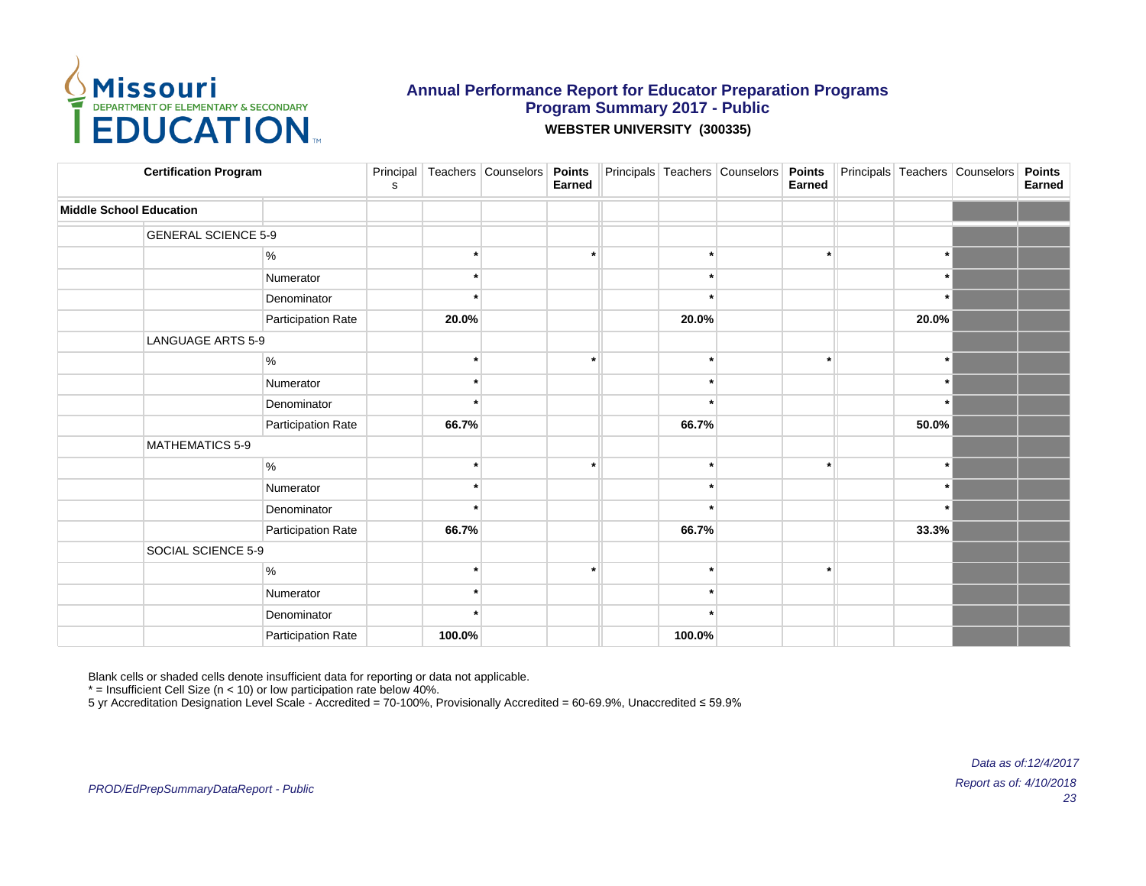

| <b>Certification Program</b>   |                    | s |         | Principal Teachers Counselors Points | Earned               |         | Principals Teachers Counselors Points | Earned |         | Principals Teachers Counselors | <b>Points</b><br>Earned |
|--------------------------------|--------------------|---|---------|--------------------------------------|----------------------|---------|---------------------------------------|--------|---------|--------------------------------|-------------------------|
| <b>Middle School Education</b> |                    |   |         |                                      |                      |         |                                       |        |         |                                |                         |
| <b>GENERAL SCIENCE 5-9</b>     |                    |   |         |                                      |                      |         |                                       |        |         |                                |                         |
|                                | $\%$               |   |         |                                      |                      | $\star$ |                                       |        | $\star$ |                                |                         |
|                                | Numerator          |   |         |                                      |                      | ÷       |                                       |        | $\ast$  |                                |                         |
|                                | Denominator        |   |         |                                      |                      |         |                                       |        | $\star$ |                                |                         |
|                                | Participation Rate |   | 20.0%   |                                      |                      | 20.0%   |                                       |        | 20.0%   |                                |                         |
| LANGUAGE ARTS 5-9              |                    |   |         |                                      |                      |         |                                       |        |         |                                |                         |
|                                | $\%$               |   |         |                                      | ٠                    | $\ast$  |                                       |        | $\star$ |                                |                         |
|                                | Numerator          |   | ÷       |                                      |                      | $\star$ |                                       |        | $\star$ |                                |                         |
|                                | Denominator        |   |         |                                      |                      |         |                                       |        | $\star$ |                                |                         |
|                                | Participation Rate |   | 66.7%   |                                      |                      | 66.7%   |                                       |        | 50.0%   |                                |                         |
| MATHEMATICS 5-9                |                    |   |         |                                      |                      |         |                                       |        |         |                                |                         |
|                                | $\%$               |   | $\star$ |                                      | $\ddot{\phantom{0}}$ | $\star$ |                                       |        | $\star$ |                                |                         |
|                                | Numerator          |   |         |                                      |                      | $\star$ |                                       |        | $\star$ |                                |                         |
|                                | Denominator        |   |         |                                      |                      |         |                                       |        | $\star$ |                                |                         |
|                                | Participation Rate |   | 66.7%   |                                      |                      | 66.7%   |                                       |        | 33.3%   |                                |                         |
| SOCIAL SCIENCE 5-9             |                    |   |         |                                      |                      |         |                                       |        |         |                                |                         |
|                                | $\%$               |   | ÷       |                                      |                      | $\star$ |                                       |        |         |                                |                         |
|                                | Numerator          |   | $\star$ |                                      |                      | $\star$ |                                       |        |         |                                |                         |
|                                | Denominator        |   | $\star$ |                                      |                      |         |                                       |        |         |                                |                         |
|                                | Participation Rate |   | 100.0%  |                                      |                      | 100.0%  |                                       |        |         |                                |                         |

Blank cells or shaded cells denote insufficient data for reporting or data not applicable.

 $*$  = Insufficient Cell Size (n < 10) or low participation rate below 40%.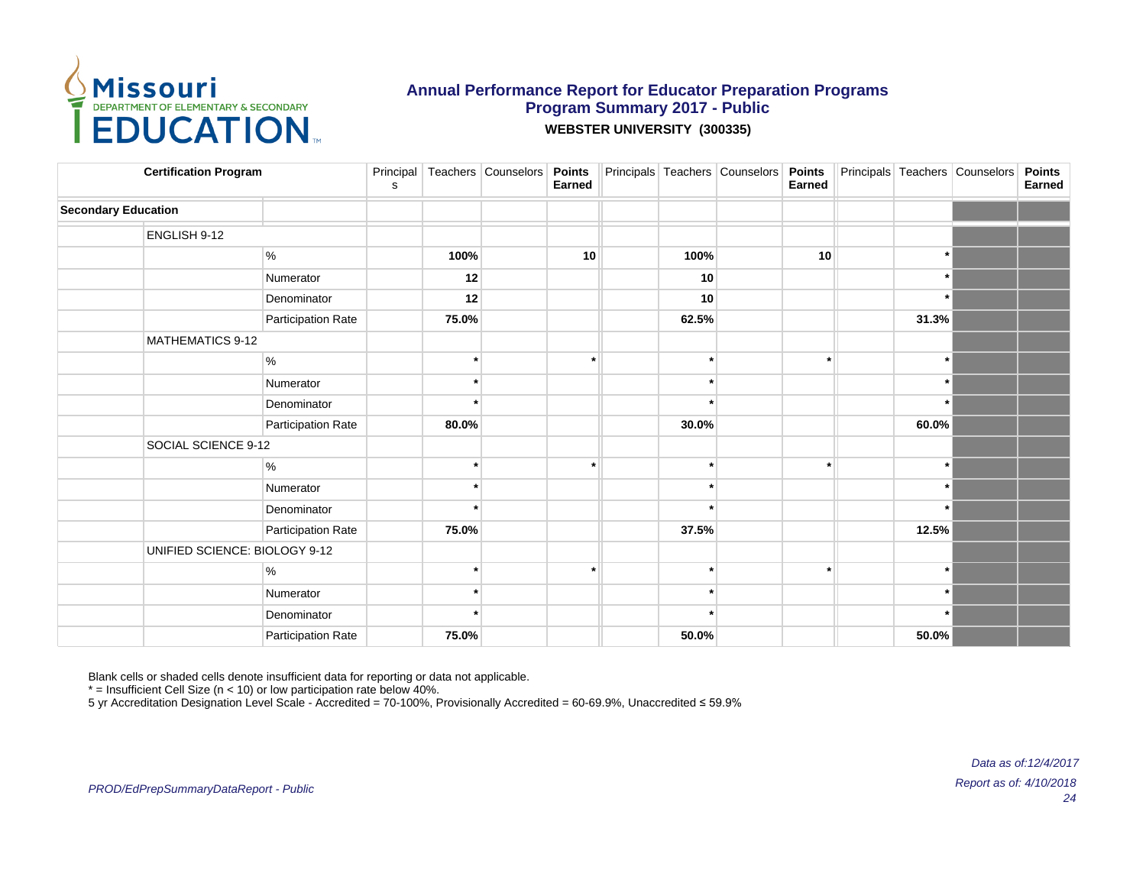

| <b>Certification Program</b> |                               | ${\tt S}$ |         | Principal   Teachers   Counselors | <b>Points</b><br>Earned |         | Principals Teachers Counselors Points | Earned |         | Principals Teachers Counselors | <b>Points</b><br>Earned |
|------------------------------|-------------------------------|-----------|---------|-----------------------------------|-------------------------|---------|---------------------------------------|--------|---------|--------------------------------|-------------------------|
| <b>Secondary Education</b>   |                               |           |         |                                   |                         |         |                                       |        |         |                                |                         |
| ENGLISH 9-12                 |                               |           |         |                                   |                         |         |                                       |        |         |                                |                         |
|                              | $\%$                          |           | 100%    |                                   | 10                      | 100%    |                                       | 10     | $\ast$  |                                |                         |
|                              | Numerator                     |           | 12      |                                   |                         | 10      |                                       |        | $\star$ |                                |                         |
|                              | Denominator                   |           | 12      |                                   |                         | 10      |                                       |        | $\star$ |                                |                         |
|                              | Participation Rate            |           | 75.0%   |                                   |                         | 62.5%   |                                       |        | 31.3%   |                                |                         |
| MATHEMATICS 9-12             |                               |           |         |                                   |                         |         |                                       |        |         |                                |                         |
|                              | $\%$                          |           | $\star$ |                                   | ÷                       | $\ast$  |                                       |        | $\star$ |                                |                         |
|                              | Numerator                     |           | ÷       |                                   |                         | $\ast$  |                                       |        | $\star$ |                                |                         |
|                              | Denominator                   |           |         |                                   |                         |         |                                       |        | $\star$ |                                |                         |
|                              | Participation Rate            |           | 80.0%   |                                   |                         | 30.0%   |                                       |        | 60.0%   |                                |                         |
| SOCIAL SCIENCE 9-12          |                               |           |         |                                   |                         |         |                                       |        |         |                                |                         |
|                              | %                             |           | $\star$ |                                   | $\ddot{\phantom{0}}$    | $\star$ |                                       |        | $\star$ |                                |                         |
|                              | Numerator                     |           | $\star$ |                                   |                         | $\star$ |                                       |        | $\star$ |                                |                         |
|                              | Denominator                   |           |         |                                   |                         |         |                                       |        | $\star$ |                                |                         |
|                              | Participation Rate            |           | 75.0%   |                                   |                         | 37.5%   |                                       |        | 12.5%   |                                |                         |
|                              | UNIFIED SCIENCE: BIOLOGY 9-12 |           |         |                                   |                         |         |                                       |        |         |                                |                         |
|                              | %                             |           |         |                                   |                         | $\star$ |                                       |        | $\star$ |                                |                         |
|                              | Numerator                     |           |         |                                   |                         | $\star$ |                                       |        | $\star$ |                                |                         |
|                              | Denominator                   |           |         |                                   |                         | $\star$ |                                       |        | $\star$ |                                |                         |
|                              | Participation Rate            |           | 75.0%   |                                   |                         | 50.0%   |                                       |        | 50.0%   |                                |                         |

Blank cells or shaded cells denote insufficient data for reporting or data not applicable.

 $*$  = Insufficient Cell Size (n < 10) or low participation rate below 40%.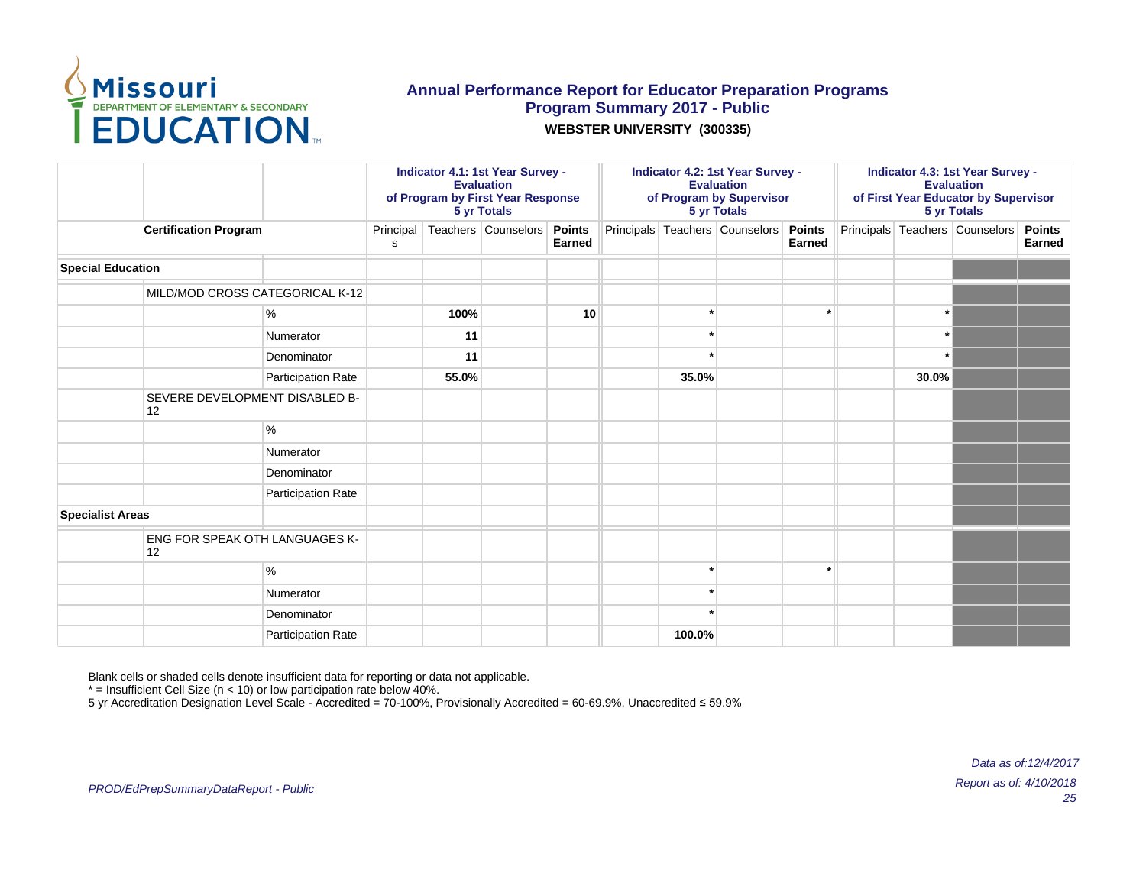

#### **WEBSTER UNIVERSITY (300335)**

|                          |                                      |                    | Indicator 4.1: 1st Year Survey -<br><b>Evaluation</b><br>of Program by First Year Response<br>5 yr Totals<br>Teachers Counselors |       |  |                         | Indicator 4.2: 1st Year Survey -<br><b>Evaluation</b><br>of Program by Supervisor<br>5 yr Totals |         |                                       |        | Indicator 4.3: 1st Year Survey -<br><b>Evaluation</b><br>of First Year Educator by Supervisor<br>5 yr Totals |       |                                |                         |
|--------------------------|--------------------------------------|--------------------|----------------------------------------------------------------------------------------------------------------------------------|-------|--|-------------------------|--------------------------------------------------------------------------------------------------|---------|---------------------------------------|--------|--------------------------------------------------------------------------------------------------------------|-------|--------------------------------|-------------------------|
|                          | <b>Certification Program</b>         |                    | Principal<br>s                                                                                                                   |       |  | <b>Points</b><br>Earned |                                                                                                  |         | Principals Teachers Counselors Points | Earned |                                                                                                              |       | Principals Teachers Counselors | <b>Points</b><br>Earned |
| <b>Special Education</b> |                                      |                    |                                                                                                                                  |       |  |                         |                                                                                                  |         |                                       |        |                                                                                                              |       |                                |                         |
|                          | MILD/MOD CROSS CATEGORICAL K-12      |                    |                                                                                                                                  |       |  |                         |                                                                                                  |         |                                       |        |                                                                                                              |       |                                |                         |
|                          |                                      | %                  |                                                                                                                                  | 100%  |  | 10                      |                                                                                                  |         |                                       |        |                                                                                                              |       |                                |                         |
|                          |                                      | Numerator          |                                                                                                                                  | 11    |  |                         |                                                                                                  | $\cdot$ |                                       |        |                                                                                                              |       |                                |                         |
|                          |                                      | Denominator        |                                                                                                                                  | 11    |  |                         |                                                                                                  |         |                                       |        |                                                                                                              |       |                                |                         |
|                          |                                      | Participation Rate |                                                                                                                                  | 55.0% |  |                         |                                                                                                  | 35.0%   |                                       |        |                                                                                                              | 30.0% |                                |                         |
|                          | SEVERE DEVELOPMENT DISABLED B-<br>12 |                    |                                                                                                                                  |       |  |                         |                                                                                                  |         |                                       |        |                                                                                                              |       |                                |                         |
|                          |                                      | %                  |                                                                                                                                  |       |  |                         |                                                                                                  |         |                                       |        |                                                                                                              |       |                                |                         |
|                          |                                      | Numerator          |                                                                                                                                  |       |  |                         |                                                                                                  |         |                                       |        |                                                                                                              |       |                                |                         |
|                          |                                      | Denominator        |                                                                                                                                  |       |  |                         |                                                                                                  |         |                                       |        |                                                                                                              |       |                                |                         |
|                          |                                      | Participation Rate |                                                                                                                                  |       |  |                         |                                                                                                  |         |                                       |        |                                                                                                              |       |                                |                         |
| <b>Specialist Areas</b>  |                                      |                    |                                                                                                                                  |       |  |                         |                                                                                                  |         |                                       |        |                                                                                                              |       |                                |                         |
|                          | ENG FOR SPEAK OTH LANGUAGES K-<br>12 |                    |                                                                                                                                  |       |  |                         |                                                                                                  |         |                                       |        |                                                                                                              |       |                                |                         |
|                          |                                      | %                  |                                                                                                                                  |       |  |                         |                                                                                                  |         |                                       |        |                                                                                                              |       |                                |                         |
|                          |                                      | Numerator          |                                                                                                                                  |       |  |                         |                                                                                                  |         |                                       |        |                                                                                                              |       |                                |                         |
|                          |                                      | Denominator        |                                                                                                                                  |       |  |                         |                                                                                                  |         |                                       |        |                                                                                                              |       |                                |                         |
|                          |                                      | Participation Rate |                                                                                                                                  |       |  |                         | 100.0%                                                                                           |         |                                       |        |                                                                                                              |       |                                |                         |

Blank cells or shaded cells denote insufficient data for reporting or data not applicable.

 $*$  = Insufficient Cell Size (n < 10) or low participation rate below 40%.